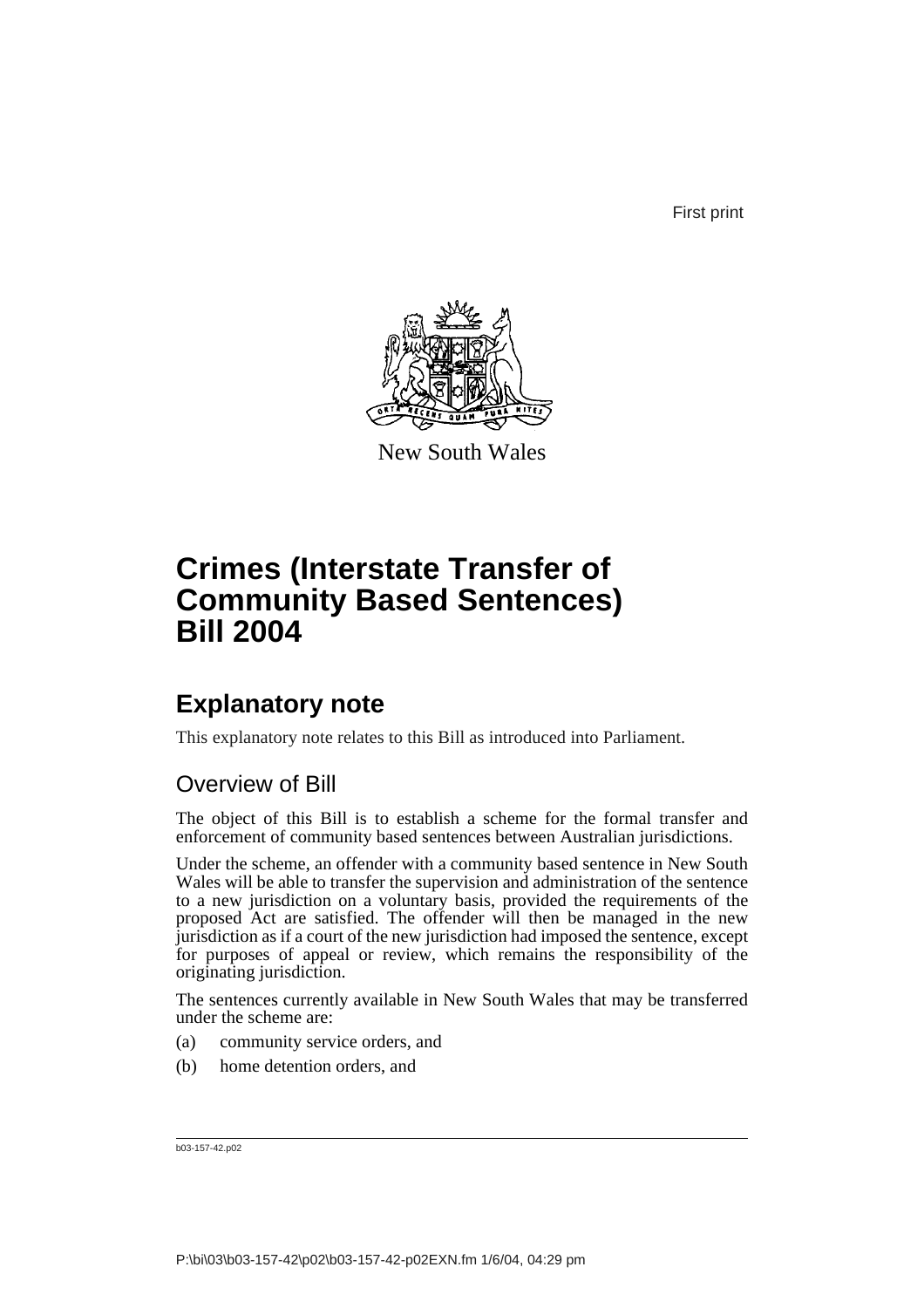First print



New South Wales

# **Crimes (Interstate Transfer of Community Based Sentences) Bill 2004**

# **Explanatory note**

This explanatory note relates to this Bill as introduced into Parliament.

# Overview of Bill

The object of this Bill is to establish a scheme for the formal transfer and enforcement of community based sentences between Australian jurisdictions.

Under the scheme, an offender with a community based sentence in New South Wales will be able to transfer the supervision and administration of the sentence to a new jurisdiction on a voluntary basis, provided the requirements of the proposed Act are satisfied. The offender will then be managed in the new jurisdiction as if a court of the new jurisdiction had imposed the sentence, except for purposes of appeal or review, which remains the responsibility of the originating jurisdiction.

The sentences currently available in New South Wales that may be transferred under the scheme are:

- (a) community service orders, and
- (b) home detention orders, and

b03-157-42.p02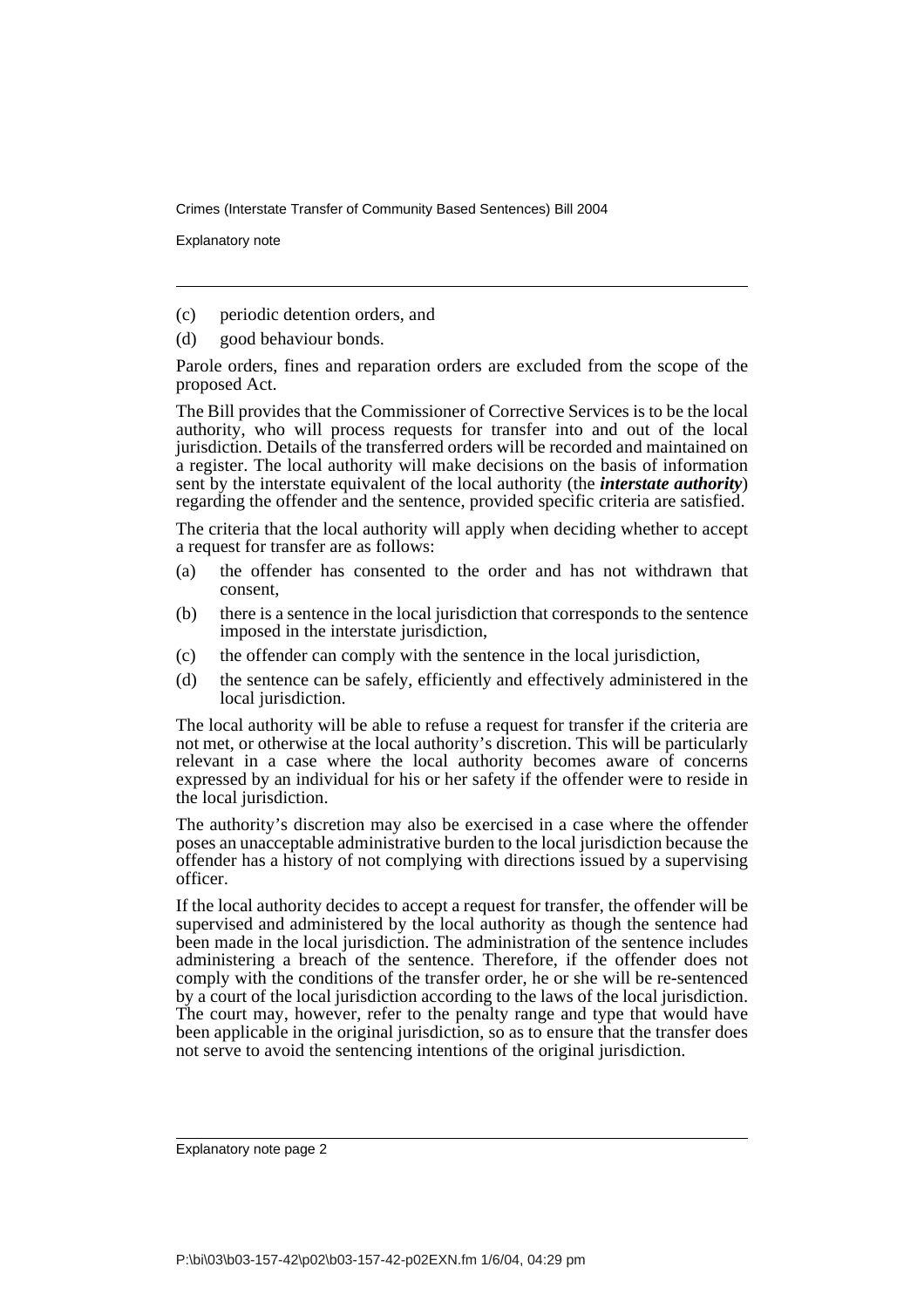Explanatory note

(c) periodic detention orders, and

(d) good behaviour bonds.

Parole orders, fines and reparation orders are excluded from the scope of the proposed Act.

The Bill provides that the Commissioner of Corrective Services is to be the local authority, who will process requests for transfer into and out of the local jurisdiction. Details of the transferred orders will be recorded and maintained on a register. The local authority will make decisions on the basis of information sent by the interstate equivalent of the local authority (the *interstate authority*) regarding the offender and the sentence, provided specific criteria are satisfied.

The criteria that the local authority will apply when deciding whether to accept a request for transfer are as follows:

- (a) the offender has consented to the order and has not withdrawn that consent,
- (b) there is a sentence in the local jurisdiction that corresponds to the sentence imposed in the interstate jurisdiction,
- (c) the offender can comply with the sentence in the local jurisdiction,
- (d) the sentence can be safely, efficiently and effectively administered in the local jurisdiction.

The local authority will be able to refuse a request for transfer if the criteria are not met, or otherwise at the local authority's discretion. This will be particularly relevant in a case where the local authority becomes aware of concerns expressed by an individual for his or her safety if the offender were to reside in the local jurisdiction.

The authority's discretion may also be exercised in a case where the offender poses an unacceptable administrative burden to the local jurisdiction because the offender has a history of not complying with directions issued by a supervising officer.

If the local authority decides to accept a request for transfer, the offender will be supervised and administered by the local authority as though the sentence had been made in the local jurisdiction. The administration of the sentence includes administering a breach of the sentence. Therefore, if the offender does not comply with the conditions of the transfer order, he or she will be re-sentenced by a court of the local jurisdiction according to the laws of the local jurisdiction. The court may, however, refer to the penalty range and type that would have been applicable in the original jurisdiction, so as to ensure that the transfer does not serve to avoid the sentencing intentions of the original jurisdiction.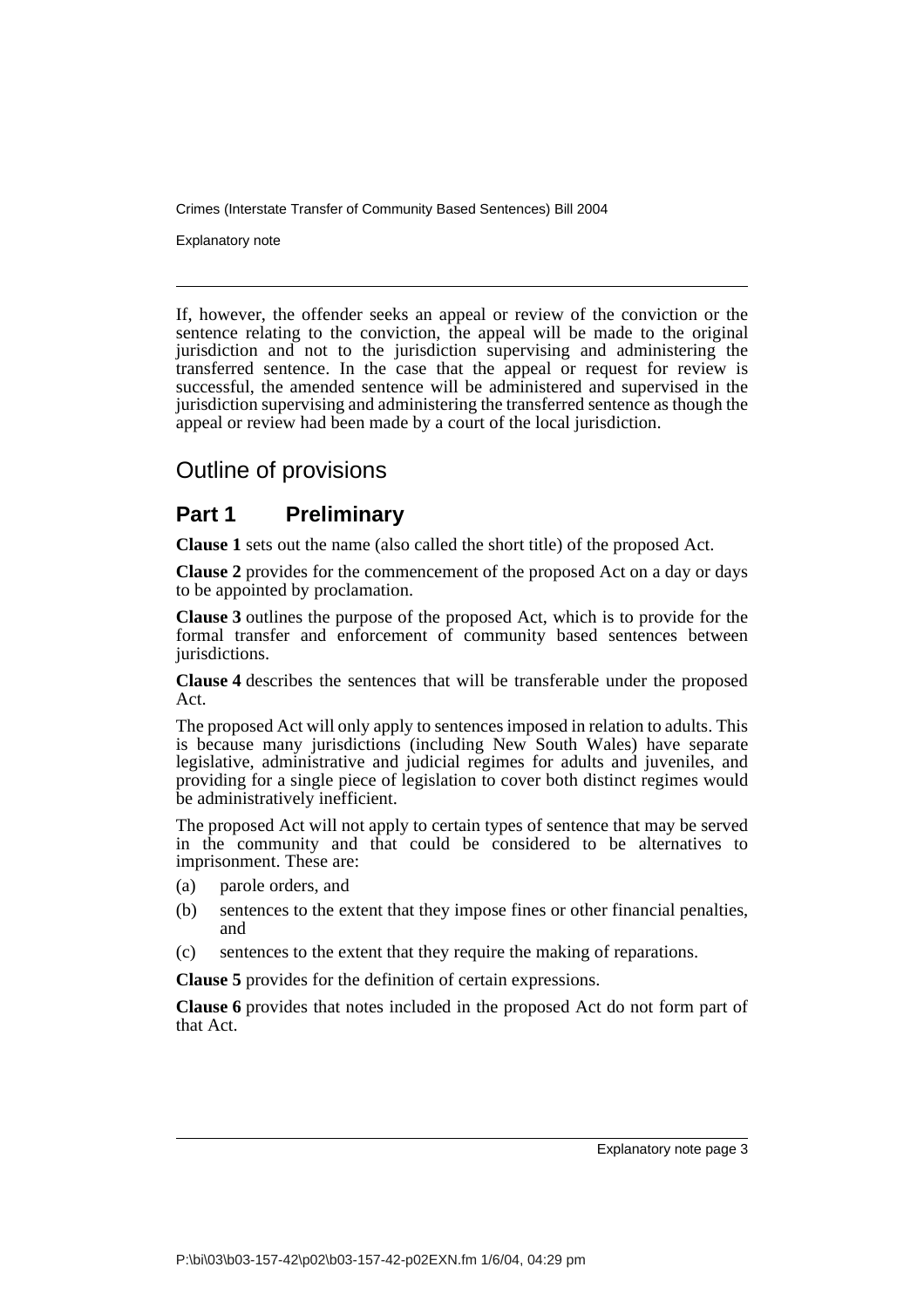Explanatory note

If, however, the offender seeks an appeal or review of the conviction or the sentence relating to the conviction, the appeal will be made to the original jurisdiction and not to the jurisdiction supervising and administering the transferred sentence. In the case that the appeal or request for review is successful, the amended sentence will be administered and supervised in the jurisdiction supervising and administering the transferred sentence as though the appeal or review had been made by a court of the local jurisdiction.

# Outline of provisions

## **Part 1 Preliminary**

**Clause 1** sets out the name (also called the short title) of the proposed Act.

**Clause 2** provides for the commencement of the proposed Act on a day or days to be appointed by proclamation.

**Clause 3** outlines the purpose of the proposed Act, which is to provide for the formal transfer and enforcement of community based sentences between jurisdictions.

**Clause 4** describes the sentences that will be transferable under the proposed Act.

The proposed Act will only apply to sentences imposed in relation to adults. This is because many jurisdictions (including New South Wales) have separate legislative, administrative and judicial regimes for adults and juveniles, and providing for a single piece of legislation to cover both distinct regimes would be administratively inefficient.

The proposed Act will not apply to certain types of sentence that may be served in the community and that could be considered to be alternatives to imprisonment. These are:

- (a) parole orders, and
- (b) sentences to the extent that they impose fines or other financial penalties, and
- (c) sentences to the extent that they require the making of reparations.

**Clause 5** provides for the definition of certain expressions.

**Clause 6** provides that notes included in the proposed Act do not form part of that Act.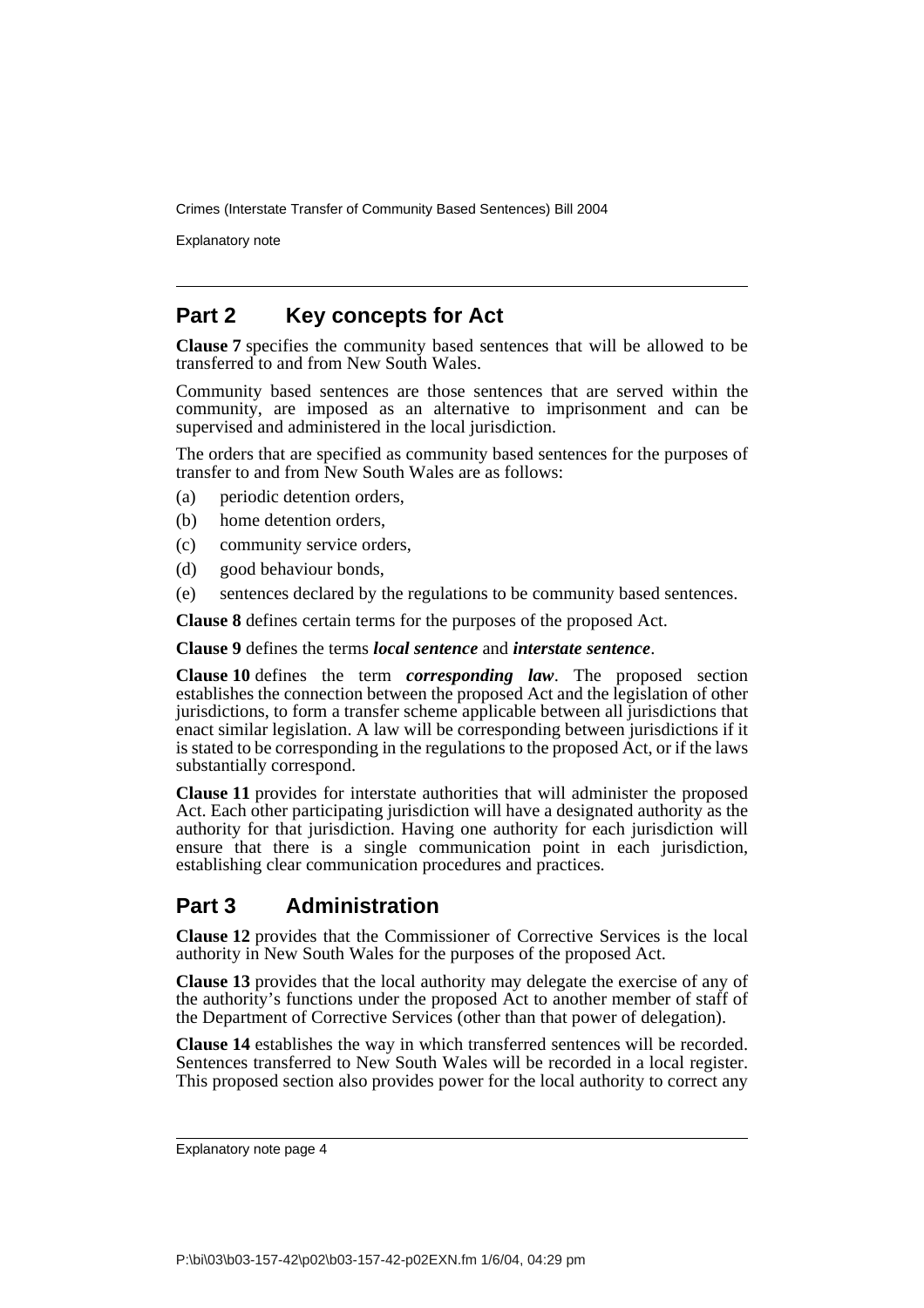Explanatory note

## **Part 2 Key concepts for Act**

**Clause 7** specifies the community based sentences that will be allowed to be transferred to and from New South Wales.

Community based sentences are those sentences that are served within the community, are imposed as an alternative to imprisonment and can be supervised and administered in the local jurisdiction.

The orders that are specified as community based sentences for the purposes of transfer to and from New South Wales are as follows:

- (a) periodic detention orders,
- (b) home detention orders,
- (c) community service orders,
- (d) good behaviour bonds,
- (e) sentences declared by the regulations to be community based sentences.

**Clause 8** defines certain terms for the purposes of the proposed Act.

**Clause 9** defines the terms *local sentence* and *interstate sentence*.

**Clause 10** defines the term *corresponding law*. The proposed section establishes the connection between the proposed Act and the legislation of other jurisdictions, to form a transfer scheme applicable between all jurisdictions that enact similar legislation. A law will be corresponding between jurisdictions if it is stated to be corresponding in the regulations to the proposed Act, or if the laws substantially correspond.

**Clause 11** provides for interstate authorities that will administer the proposed Act. Each other participating jurisdiction will have a designated authority as the authority for that jurisdiction. Having one authority for each jurisdiction will ensure that there is a single communication point in each jurisdiction, establishing clear communication procedures and practices.

## **Part 3 Administration**

**Clause 12** provides that the Commissioner of Corrective Services is the local authority in New South Wales for the purposes of the proposed Act.

**Clause 13** provides that the local authority may delegate the exercise of any of the authority's functions under the proposed Act to another member of staff of the Department of Corrective Services (other than that power of delegation).

**Clause 14** establishes the way in which transferred sentences will be recorded. Sentences transferred to New South Wales will be recorded in a local register. This proposed section also provides power for the local authority to correct any

Explanatory note page 4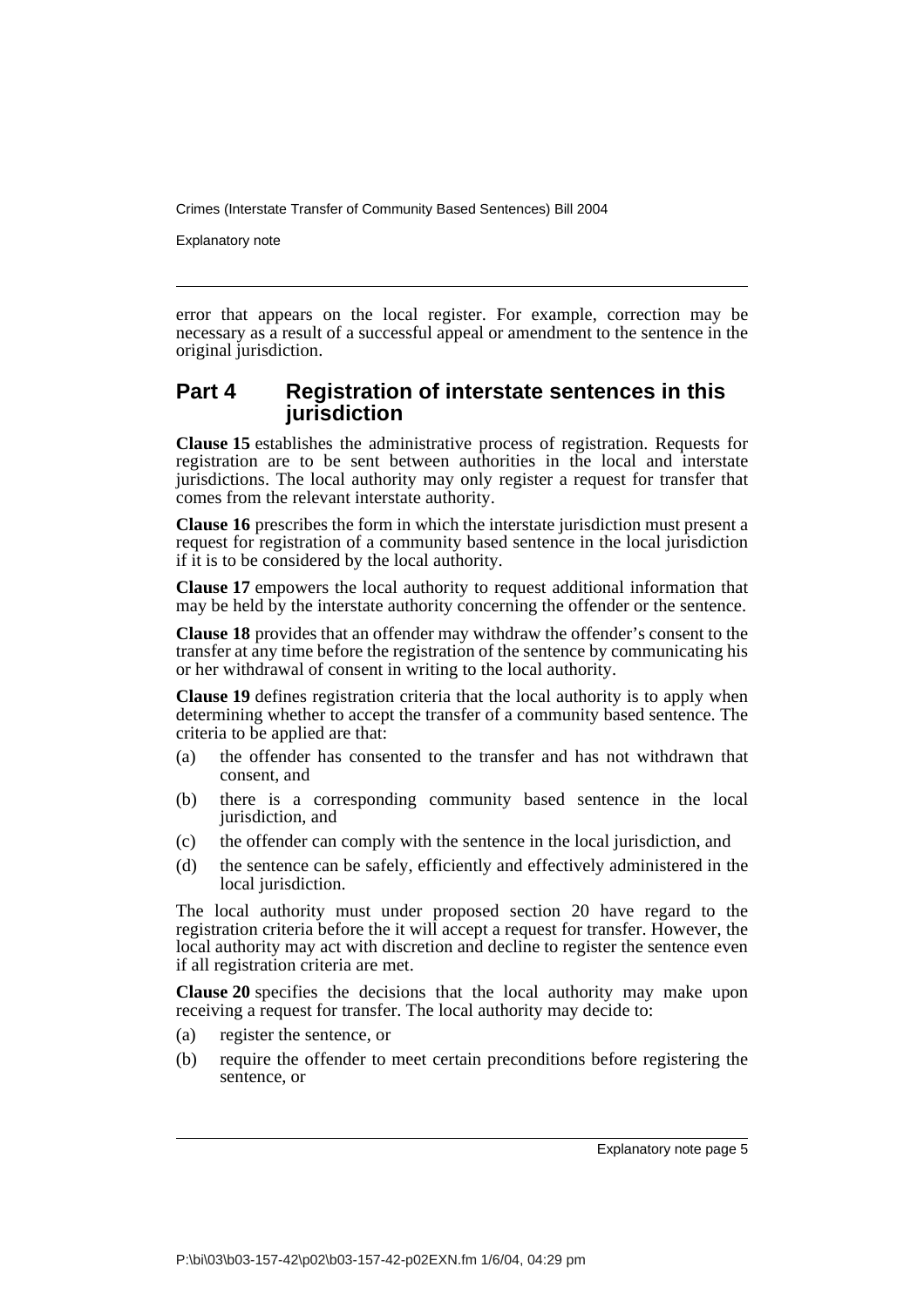Explanatory note

error that appears on the local register. For example, correction may be necessary as a result of a successful appeal or amendment to the sentence in the original jurisdiction.

## **Part 4 Registration of interstate sentences in this jurisdiction**

**Clause 15** establishes the administrative process of registration. Requests for registration are to be sent between authorities in the local and interstate jurisdictions. The local authority may only register a request for transfer that comes from the relevant interstate authority.

**Clause 16** prescribes the form in which the interstate jurisdiction must present a request for registration of a community based sentence in the local jurisdiction if it is to be considered by the local authority.

**Clause 17** empowers the local authority to request additional information that may be held by the interstate authority concerning the offender or the sentence.

**Clause 18** provides that an offender may withdraw the offender's consent to the transfer at any time before the registration of the sentence by communicating his or her withdrawal of consent in writing to the local authority.

**Clause 19** defines registration criteria that the local authority is to apply when determining whether to accept the transfer of a community based sentence. The criteria to be applied are that:

- (a) the offender has consented to the transfer and has not withdrawn that consent, and
- (b) there is a corresponding community based sentence in the local jurisdiction, and
- (c) the offender can comply with the sentence in the local jurisdiction, and
- (d) the sentence can be safely, efficiently and effectively administered in the local jurisdiction.

The local authority must under proposed section 20 have regard to the registration criteria before the it will accept a request for transfer. However, the local authority may act with discretion and decline to register the sentence even if all registration criteria are met.

**Clause 20** specifies the decisions that the local authority may make upon receiving a request for transfer. The local authority may decide to:

- (a) register the sentence, or
- (b) require the offender to meet certain preconditions before registering the sentence, or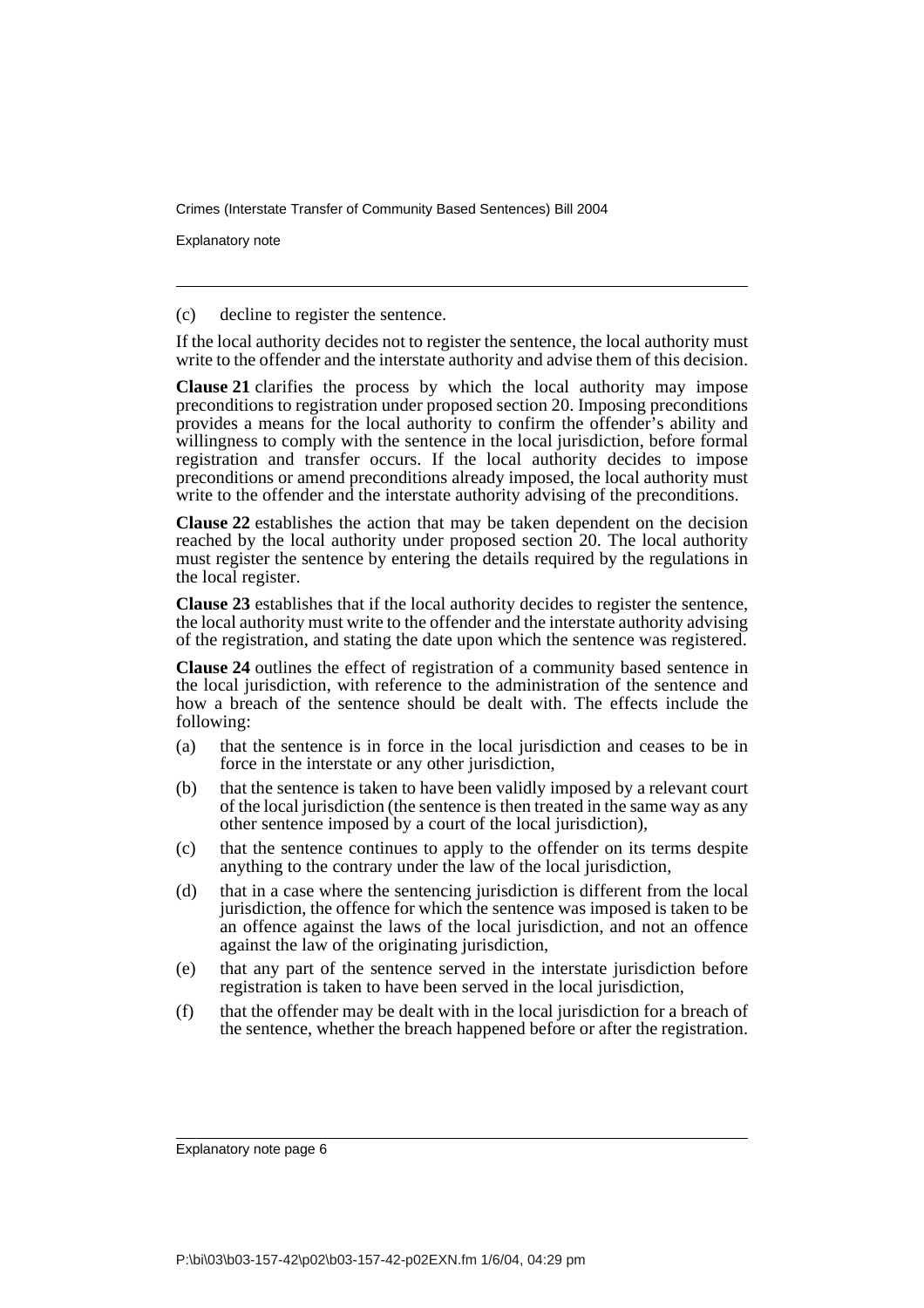Explanatory note

(c) decline to register the sentence.

If the local authority decides not to register the sentence, the local authority must write to the offender and the interstate authority and advise them of this decision.

**Clause 21** clarifies the process by which the local authority may impose preconditions to registration under proposed section 20. Imposing preconditions provides a means for the local authority to confirm the offender's ability and willingness to comply with the sentence in the local jurisdiction, before formal registration and transfer occurs. If the local authority decides to impose preconditions or amend preconditions already imposed, the local authority must write to the offender and the interstate authority advising of the preconditions.

**Clause 22** establishes the action that may be taken dependent on the decision reached by the local authority under proposed section 20. The local authority must register the sentence by entering the details required by the regulations in the local register.

**Clause 23** establishes that if the local authority decides to register the sentence, the local authority must write to the offender and the interstate authority advising of the registration, and stating the date upon which the sentence was registered.

**Clause 24** outlines the effect of registration of a community based sentence in the local jurisdiction, with reference to the administration of the sentence and how a breach of the sentence should be dealt with. The effects include the following:

- (a) that the sentence is in force in the local jurisdiction and ceases to be in force in the interstate or any other jurisdiction,
- (b) that the sentence is taken to have been validly imposed by a relevant court of the local jurisdiction (the sentence is then treated in the same way as any other sentence imposed by a court of the local jurisdiction),
- (c) that the sentence continues to apply to the offender on its terms despite anything to the contrary under the law of the local jurisdiction,
- (d) that in a case where the sentencing jurisdiction is different from the local jurisdiction, the offence for which the sentence was imposed is taken to be an offence against the laws of the local jurisdiction, and not an offence against the law of the originating jurisdiction,
- (e) that any part of the sentence served in the interstate jurisdiction before registration is taken to have been served in the local jurisdiction,
- (f) that the offender may be dealt with in the local jurisdiction for a breach of the sentence, whether the breach happened before or after the registration.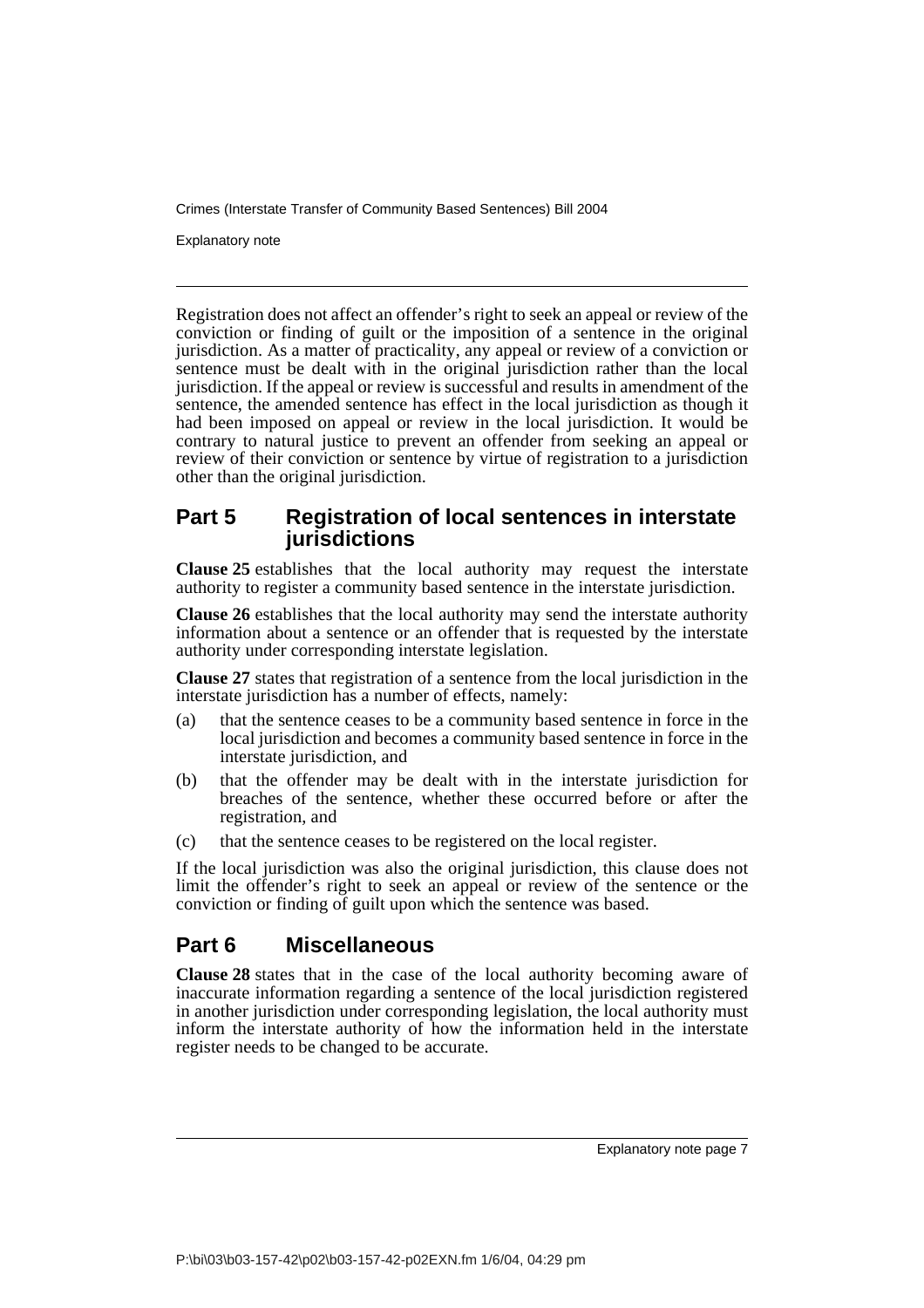Explanatory note

Registration does not affect an offender's right to seek an appeal or review of the conviction or finding of guilt or the imposition of a sentence in the original jurisdiction. As a matter of practicality, any appeal or review of a conviction or sentence must be dealt with in the original jurisdiction rather than the local jurisdiction. If the appeal or review is successful and results in amendment of the sentence, the amended sentence has effect in the local jurisdiction as though it had been imposed on appeal or review in the local jurisdiction. It would be contrary to natural justice to prevent an offender from seeking an appeal or review of their conviction or sentence by virtue of registration to a jurisdiction other than the original jurisdiction.

## **Part 5 Registration of local sentences in interstate jurisdictions**

**Clause 25** establishes that the local authority may request the interstate authority to register a community based sentence in the interstate jurisdiction.

**Clause 26** establishes that the local authority may send the interstate authority information about a sentence or an offender that is requested by the interstate authority under corresponding interstate legislation.

**Clause 27** states that registration of a sentence from the local jurisdiction in the interstate jurisdiction has a number of effects, namely:

- (a) that the sentence ceases to be a community based sentence in force in the local jurisdiction and becomes a community based sentence in force in the interstate jurisdiction, and
- (b) that the offender may be dealt with in the interstate jurisdiction for breaches of the sentence, whether these occurred before or after the registration, and
- (c) that the sentence ceases to be registered on the local register.

If the local jurisdiction was also the original jurisdiction, this clause does not limit the offender's right to seek an appeal or review of the sentence or the conviction or finding of guilt upon which the sentence was based.

## **Part 6 Miscellaneous**

**Clause 28** states that in the case of the local authority becoming aware of inaccurate information regarding a sentence of the local jurisdiction registered in another jurisdiction under corresponding legislation, the local authority must inform the interstate authority of how the information held in the interstate register needs to be changed to be accurate.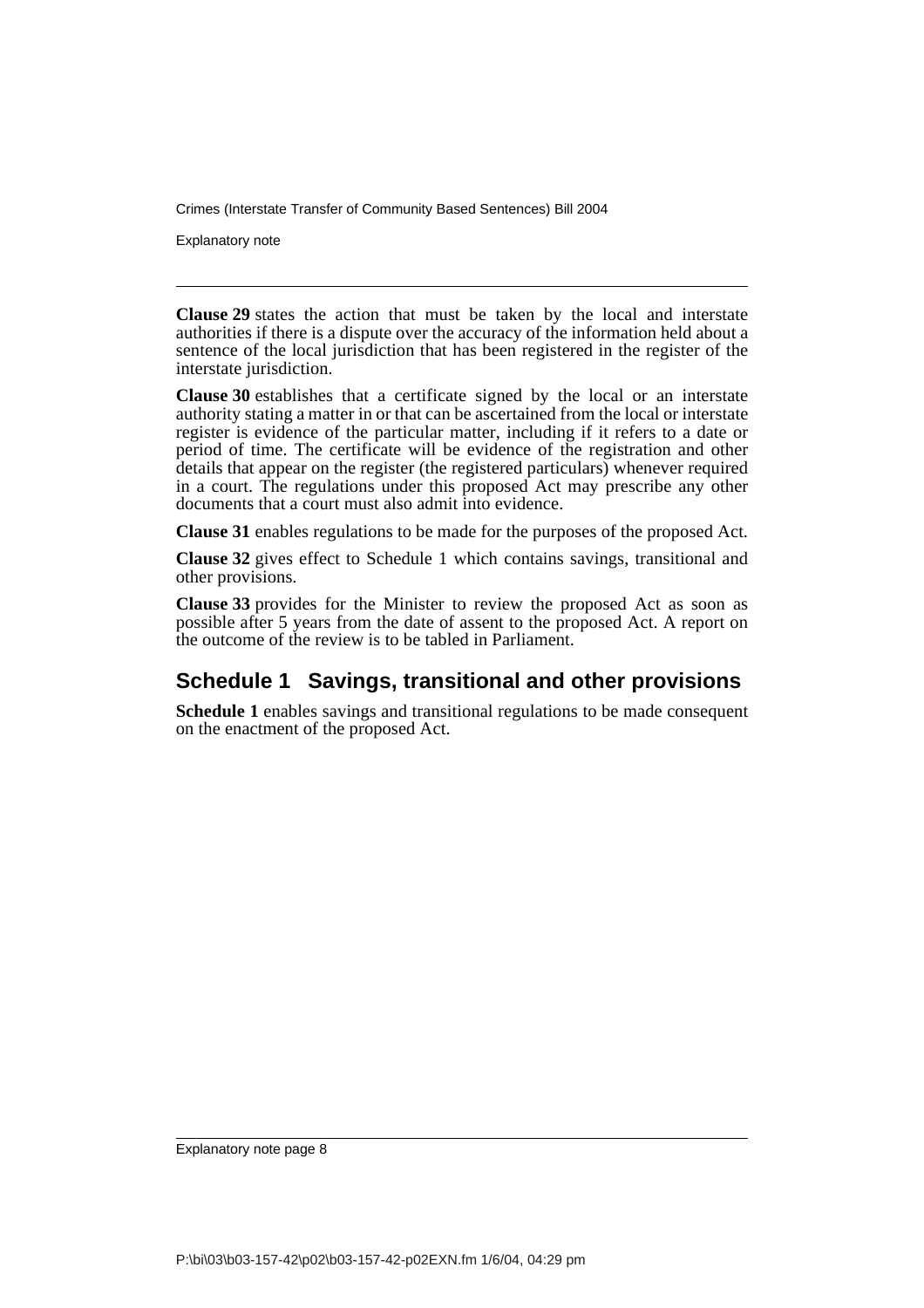Explanatory note

**Clause 29** states the action that must be taken by the local and interstate authorities if there is a dispute over the accuracy of the information held about a sentence of the local jurisdiction that has been registered in the register of the interstate jurisdiction.

**Clause 30** establishes that a certificate signed by the local or an interstate authority stating a matter in or that can be ascertained from the local or interstate register is evidence of the particular matter, including if it refers to a date or period of time. The certificate will be evidence of the registration and other details that appear on the register (the registered particulars) whenever required in a court. The regulations under this proposed Act may prescribe any other documents that a court must also admit into evidence.

**Clause 31** enables regulations to be made for the purposes of the proposed Act.

**Clause 32** gives effect to Schedule 1 which contains savings, transitional and other provisions.

**Clause 33** provides for the Minister to review the proposed Act as soon as possible after 5 years from the date of assent to the proposed Act. A report on the outcome of the review is to be tabled in Parliament.

# **Schedule 1 Savings, transitional and other provisions**

**Schedule 1** enables savings and transitional regulations to be made consequent on the enactment of the proposed Act.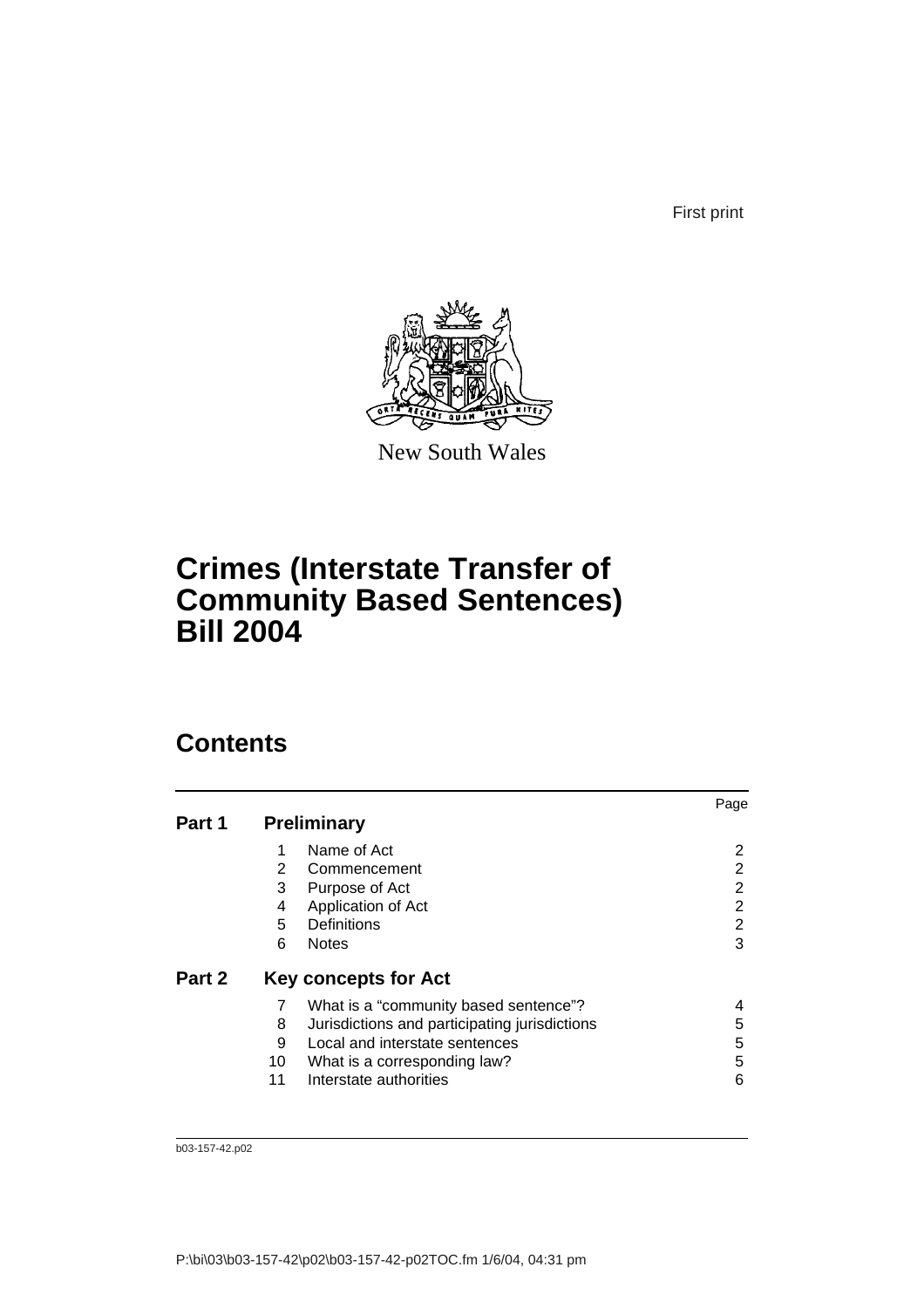First print



New South Wales

# **Crimes (Interstate Transfer of Community Based Sentences) Bill 2004**

# **Contents**

|        |    |                                               | Page |
|--------|----|-----------------------------------------------|------|
| Part 1 |    | <b>Preliminary</b>                            |      |
|        |    | Name of Act                                   | 2    |
|        | 2  | Commencement                                  | 2    |
|        | 3  | Purpose of Act                                | 2    |
|        | 4  | Application of Act                            | 2    |
|        | 5  | Definitions                                   | 2    |
|        | 6  | <b>Notes</b>                                  | 3    |
| Part 2 |    | <b>Key concepts for Act</b>                   |      |
|        |    | What is a "community based sentence"?         |      |
|        | 8  | Jurisdictions and participating jurisdictions | 5    |
|        | 9  | Local and interstate sentences                | 5    |
|        | 10 | What is a corresponding law?                  | 5    |
|        | 11 | Interstate authorities                        | 6    |
|        |    |                                               |      |

b03-157-42.p02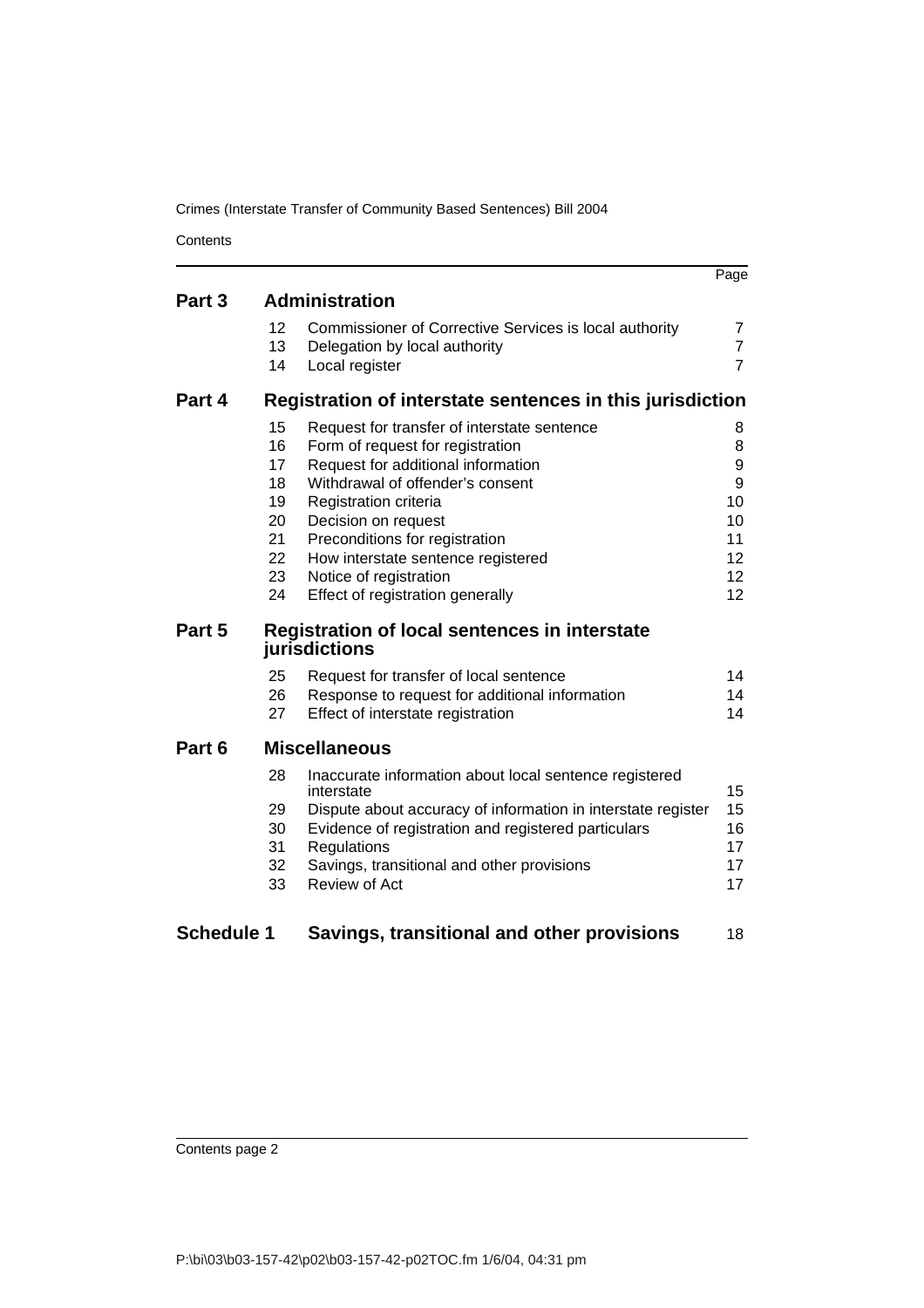**Contents** 

|                   |    |                                                                       | Page            |
|-------------------|----|-----------------------------------------------------------------------|-----------------|
| Part 3            |    | <b>Administration</b>                                                 |                 |
|                   | 12 | Commissioner of Corrective Services is local authority                | 7               |
|                   | 13 | Delegation by local authority                                         | $\overline{7}$  |
|                   | 14 | Local register                                                        | $\overline{7}$  |
| Part 4            |    | Registration of interstate sentences in this jurisdiction             |                 |
|                   | 15 | Request for transfer of interstate sentence                           | 8               |
|                   | 16 | Form of request for registration                                      | 8               |
|                   | 17 | Request for additional information                                    | 9               |
|                   | 18 | Withdrawal of offender's consent                                      | 9               |
|                   | 19 | Registration criteria                                                 | 10              |
|                   | 20 | Decision on request                                                   | 10              |
|                   | 21 | Preconditions for registration                                        | 11              |
|                   | 22 | How interstate sentence registered                                    | 12              |
|                   | 23 | Notice of registration                                                | 12 <sup>2</sup> |
|                   | 24 | Effect of registration generally                                      | 12              |
| Part 5            |    | <b>Registration of local sentences in interstate</b><br>jurisdictions |                 |
|                   | 25 | Request for transfer of local sentence                                | 14              |
|                   | 26 | Response to request for additional information                        | 14              |
|                   | 27 | Effect of interstate registration                                     | 14              |
| Part 6            |    | <b>Miscellaneous</b>                                                  |                 |
|                   | 28 | Inaccurate information about local sentence registered<br>interstate  | 15              |
|                   | 29 | Dispute about accuracy of information in interstate register          | 15              |
|                   | 30 | Evidence of registration and registered particulars                   | 16              |
|                   | 31 | Regulations                                                           | 17              |
|                   | 32 | Savings, transitional and other provisions                            | 17              |
|                   | 33 | Review of Act                                                         | 17              |
| <b>Schedule 1</b> |    | Savings, transitional and other provisions                            | 18              |
|                   |    |                                                                       |                 |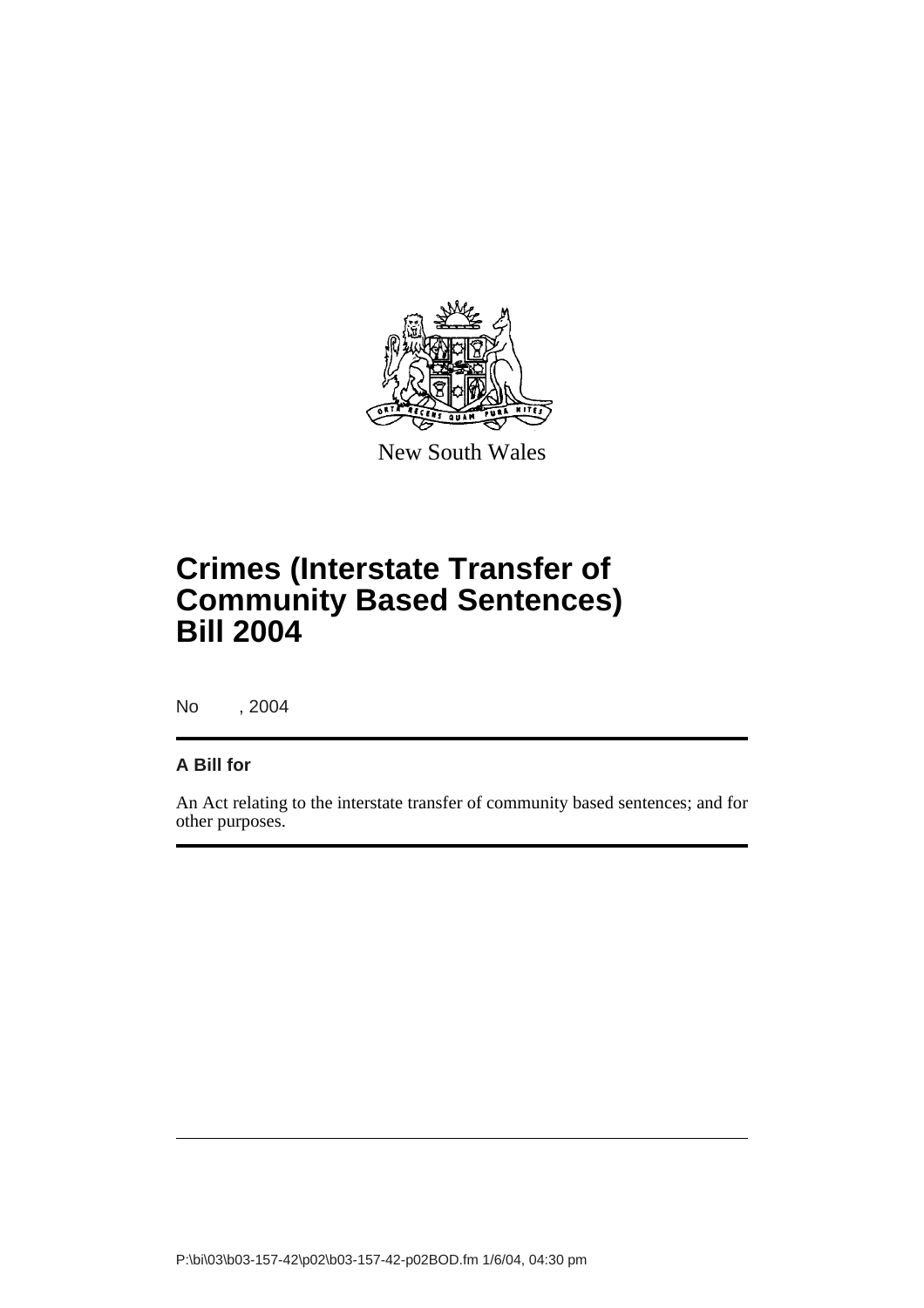

New South Wales

# **Crimes (Interstate Transfer of Community Based Sentences) Bill 2004**

No , 2004

### **A Bill for**

An Act relating to the interstate transfer of community based sentences; and for other purposes.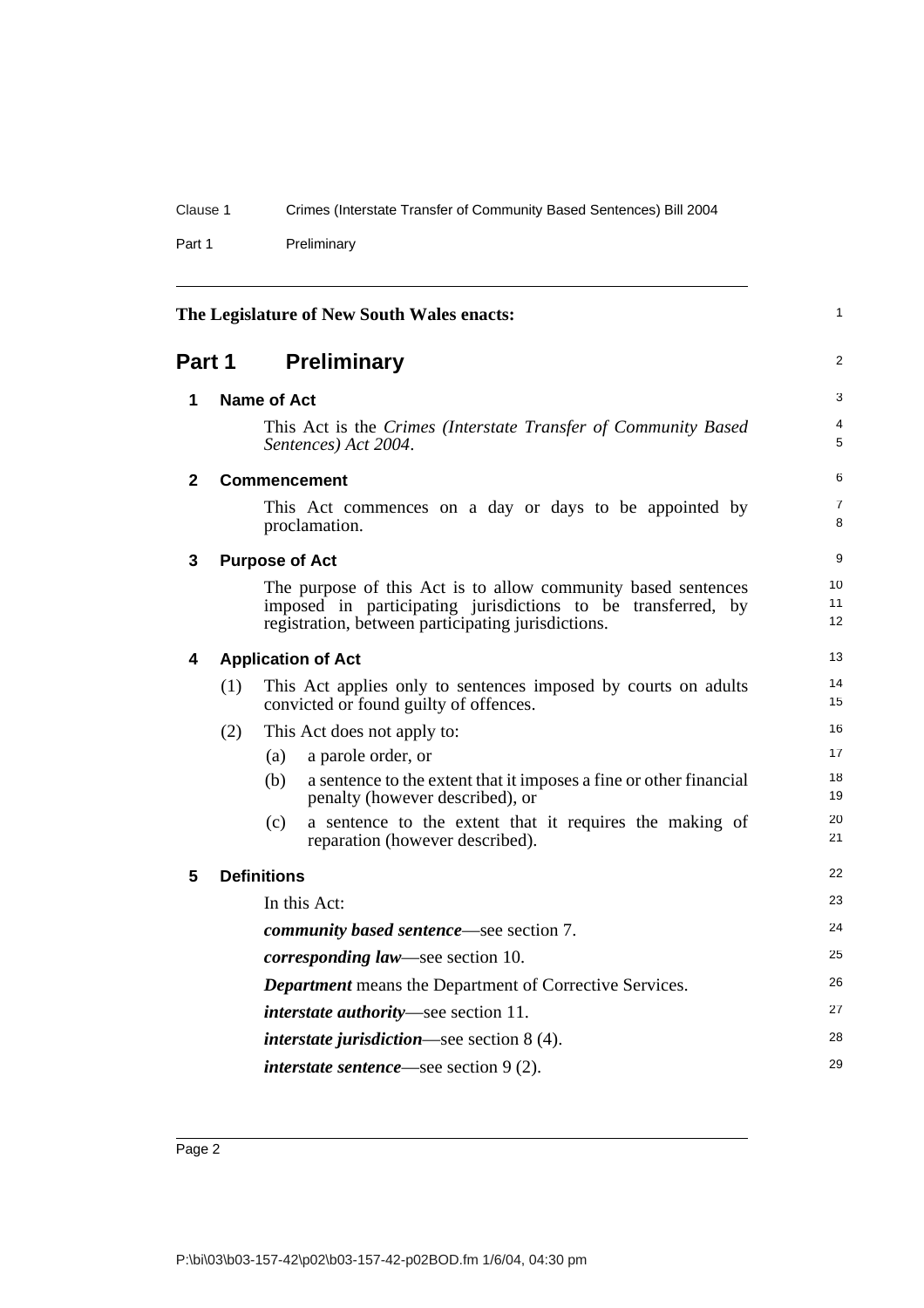Part 1 Preliminary

<span id="page-11-5"></span><span id="page-11-4"></span><span id="page-11-3"></span><span id="page-11-2"></span><span id="page-11-1"></span><span id="page-11-0"></span>

| The Legislature of New South Wales enacts: |     |                       |                                                                                                                                                                                     |                     |
|--------------------------------------------|-----|-----------------------|-------------------------------------------------------------------------------------------------------------------------------------------------------------------------------------|---------------------|
| Part 1                                     |     |                       | <b>Preliminary</b>                                                                                                                                                                  | 2                   |
| 1                                          |     | <b>Name of Act</b>    |                                                                                                                                                                                     | 3                   |
|                                            |     |                       | This Act is the Crimes (Interstate Transfer of Community Based<br>Sentences) Act 2004.                                                                                              | 4<br>5              |
| $\mathbf{2}$                               |     |                       | <b>Commencement</b>                                                                                                                                                                 | 6                   |
|                                            |     |                       | This Act commences on a day or days to be appointed by<br>proclamation.                                                                                                             | $\overline{7}$<br>8 |
| 3                                          |     | <b>Purpose of Act</b> |                                                                                                                                                                                     | 9                   |
|                                            |     |                       | The purpose of this Act is to allow community based sentences<br>imposed in participating jurisdictions to be transferred, by<br>registration, between participating jurisdictions. | 10<br>11<br>12      |
| 4                                          |     |                       | <b>Application of Act</b>                                                                                                                                                           | 13                  |
|                                            | (1) |                       | This Act applies only to sentences imposed by courts on adults<br>convicted or found guilty of offences.                                                                            | 14<br>15            |
|                                            | (2) |                       | This Act does not apply to:                                                                                                                                                         | 16                  |
|                                            |     | (a)                   | a parole order, or                                                                                                                                                                  | 17                  |
|                                            |     | (b)                   | a sentence to the extent that it imposes a fine or other financial<br>penalty (however described), or                                                                               | 18<br>19            |
|                                            |     | (c)                   | a sentence to the extent that it requires the making of<br>reparation (however described).                                                                                          | 20<br>21            |
| 5                                          |     | <b>Definitions</b>    |                                                                                                                                                                                     | 22                  |
|                                            |     |                       | In this Act:                                                                                                                                                                        | 23                  |
|                                            |     |                       | <i>community based sentence</i> —see section 7.                                                                                                                                     | 24                  |
|                                            |     |                       | <i>corresponding law</i> —see section 10.                                                                                                                                           | 25                  |
|                                            |     |                       | <b>Department</b> means the Department of Corrective Services.                                                                                                                      | 26                  |
|                                            |     |                       | <i>interstate authority</i> —see section 11.                                                                                                                                        | 27                  |
|                                            |     |                       | <i>interstate jurisdiction</i> —see section $8(4)$ .                                                                                                                                | 28                  |
|                                            |     |                       | <i>interstate sentence</i> —see section $9(2)$ .                                                                                                                                    | 29                  |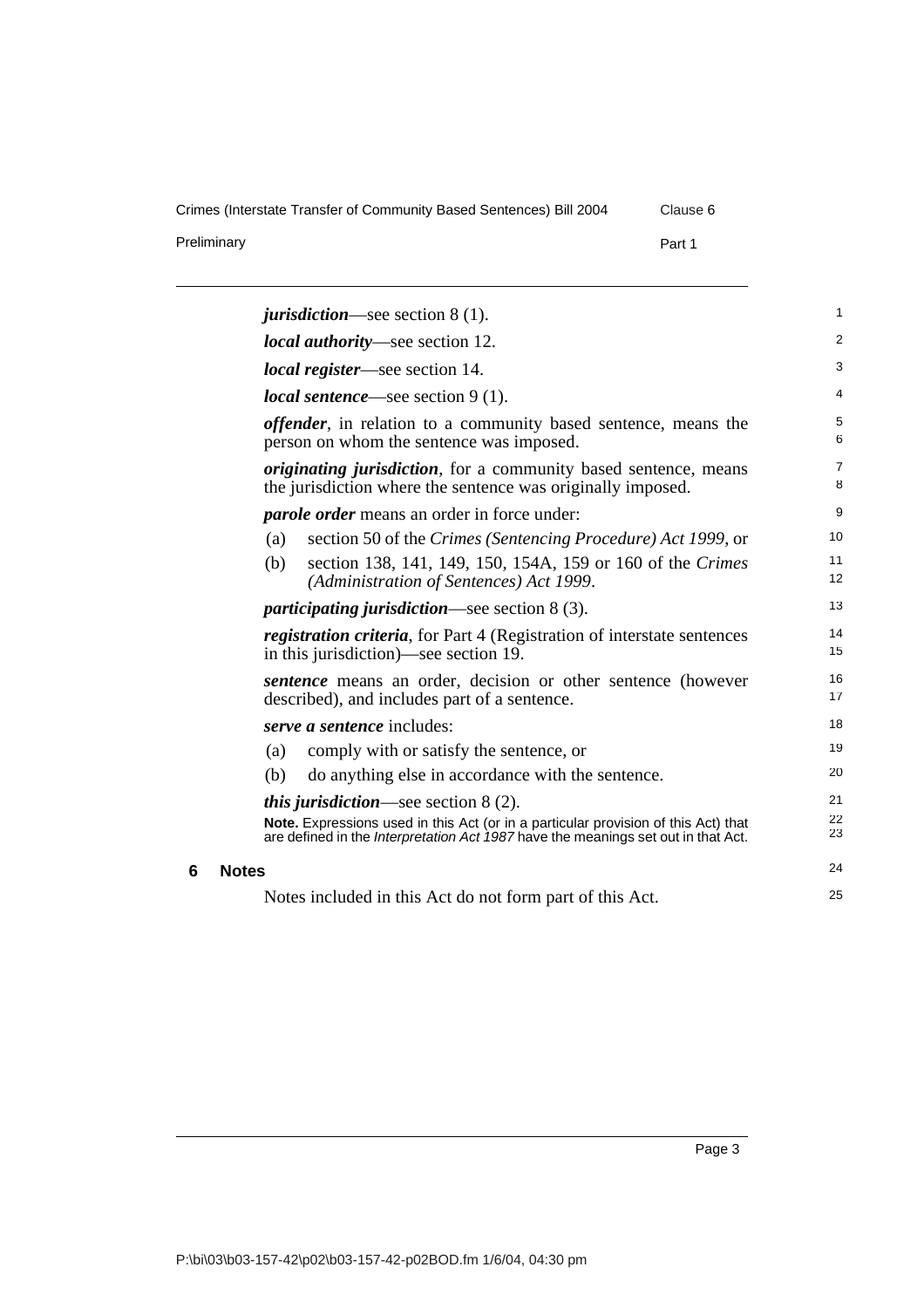Preliminary **Part 1** 

<span id="page-12-0"></span>

|   |              |     | <i>jurisdiction</i> —see section $8(1)$ .                                                                                                                                      | 1                   |
|---|--------------|-----|--------------------------------------------------------------------------------------------------------------------------------------------------------------------------------|---------------------|
|   |              |     | <i>local authority</i> —see section 12.                                                                                                                                        | 2                   |
|   |              |     | <i>local register</i> —see section 14.                                                                                                                                         | 3                   |
|   |              |     | <i>local sentence</i> —see section $9(1)$ .                                                                                                                                    | 4                   |
|   |              |     | <i>offender</i> , in relation to a community based sentence, means the<br>person on whom the sentence was imposed.                                                             | 5<br>6              |
|   |              |     | <i>originating jurisdiction</i> , for a community based sentence, means<br>the jurisdiction where the sentence was originally imposed.                                         | $\overline{7}$<br>8 |
|   |              |     | <i>parole order</i> means an order in force under:                                                                                                                             | 9                   |
|   |              | (a) | section 50 of the Crimes (Sentencing Procedure) Act 1999, or                                                                                                                   | 10                  |
|   |              | (b) | section 138, 141, 149, 150, 154A, 159 or 160 of the Crimes<br>(Administration of Sentences) Act 1999.                                                                          | 11<br>12            |
|   |              |     | <i>participating jurisdiction</i> —see section $8(3)$ .                                                                                                                        | 13                  |
|   |              |     | <i>registration criteria</i> , for Part 4 (Registration of interstate sentences<br>in this jurisdiction)—see section 19.                                                       | 14<br>15            |
|   |              |     | <i>sentence</i> means an order, decision or other sentence (however<br>described), and includes part of a sentence.                                                            | 16<br>17            |
|   |              |     | serve a sentence includes:                                                                                                                                                     | 18                  |
|   |              | (a) | comply with or satisfy the sentence, or                                                                                                                                        | 19                  |
|   |              | (b) | do anything else in accordance with the sentence.                                                                                                                              | 20                  |
|   |              |     | <i>this jurisdiction</i> —see section $8(2)$ .                                                                                                                                 | 21                  |
|   |              |     | Note. Expressions used in this Act (or in a particular provision of this Act) that<br>are defined in the <i>Interpretation Act 1987</i> have the meanings set out in that Act. | 22<br>23            |
| 6 | <b>Notes</b> |     |                                                                                                                                                                                | 24                  |
|   |              |     | Notes included in this Act do not form part of this Act.                                                                                                                       | 25                  |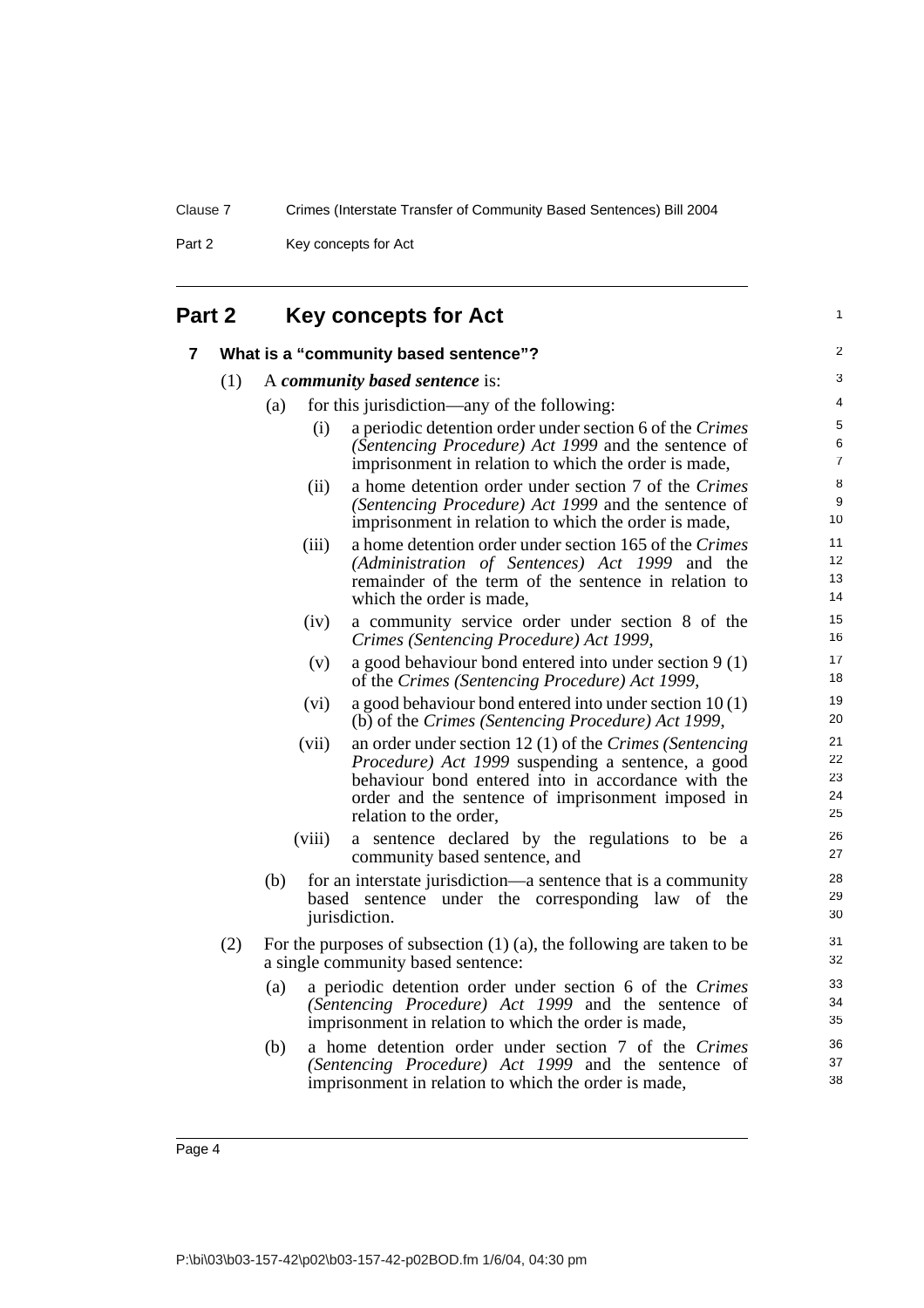1

Part 2 Key concepts for Act

| Part 2 |  |  | <b>Key concepts for Act</b> |
|--------|--|--|-----------------------------|
|--------|--|--|-----------------------------|

<span id="page-13-1"></span><span id="page-13-0"></span>

|     | What is a "community based sentence"?                                                                                                                                                                                                                      | 2                          |
|-----|------------------------------------------------------------------------------------------------------------------------------------------------------------------------------------------------------------------------------------------------------------|----------------------------|
| (1) | A community based sentence is:                                                                                                                                                                                                                             | 3                          |
|     | for this jurisdiction—any of the following:<br>(a)                                                                                                                                                                                                         | 4                          |
|     | a periodic detention order under section 6 of the Crimes<br>(i)<br>(Sentencing Procedure) Act 1999 and the sentence of                                                                                                                                     | 5<br>$\,6\,$               |
|     | imprisonment in relation to which the order is made,                                                                                                                                                                                                       | $\overline{7}$             |
|     | a home detention order under section 7 of the Crimes<br>(ii)<br>(Sentencing Procedure) Act 1999 and the sentence of<br>imprisonment in relation to which the order is made,                                                                                | 8<br>9<br>$10\,$           |
|     | a home detention order under section 165 of the Crimes<br>(iii)<br>(Administration of Sentences) Act 1999 and the<br>remainder of the term of the sentence in relation to<br>which the order is made,                                                      | 11<br>12<br>13<br>14       |
|     | (iv)<br>a community service order under section 8 of the<br>Crimes (Sentencing Procedure) Act 1999,                                                                                                                                                        | 15<br>16                   |
|     | a good behaviour bond entered into under section 9 (1)<br>(v)<br>of the Crimes (Sentencing Procedure) Act 1999,                                                                                                                                            | 17<br>18                   |
|     | a good behaviour bond entered into under section $10(1)$<br>(vi)<br>(b) of the Crimes (Sentencing Procedure) Act 1999,                                                                                                                                     | 19<br>20                   |
|     | an order under section 12 (1) of the Crimes (Sentencing<br>(vii)<br>Procedure) Act 1999 suspending a sentence, a good<br>behaviour bond entered into in accordance with the<br>order and the sentence of imprisonment imposed in<br>relation to the order, | 21<br>22<br>23<br>24<br>25 |
|     | a sentence declared by the regulations to be a<br>(viii)<br>community based sentence, and                                                                                                                                                                  | 26<br>27                   |
|     | for an interstate jurisdiction—a sentence that is a community<br>(b)<br>based sentence under the corresponding law<br>of the<br>jurisdiction.                                                                                                              | 28<br>29<br>30             |
| (2) | For the purposes of subsection $(1)$ $(a)$ , the following are taken to be<br>a single community based sentence:                                                                                                                                           | 31<br>32                   |
|     | a periodic detention order under section 6 of the Crimes<br>(a)<br>(Sentencing Procedure) Act 1999 and the sentence of<br>imprisonment in relation to which the order is made,                                                                             | 33<br>34<br>35             |
|     | a home detention order under section 7 of the Crimes<br>(b)<br>(Sentencing Procedure) Act 1999 and the sentence of<br>imprisonment in relation to which the order is made,                                                                                 | 36<br>37<br>38             |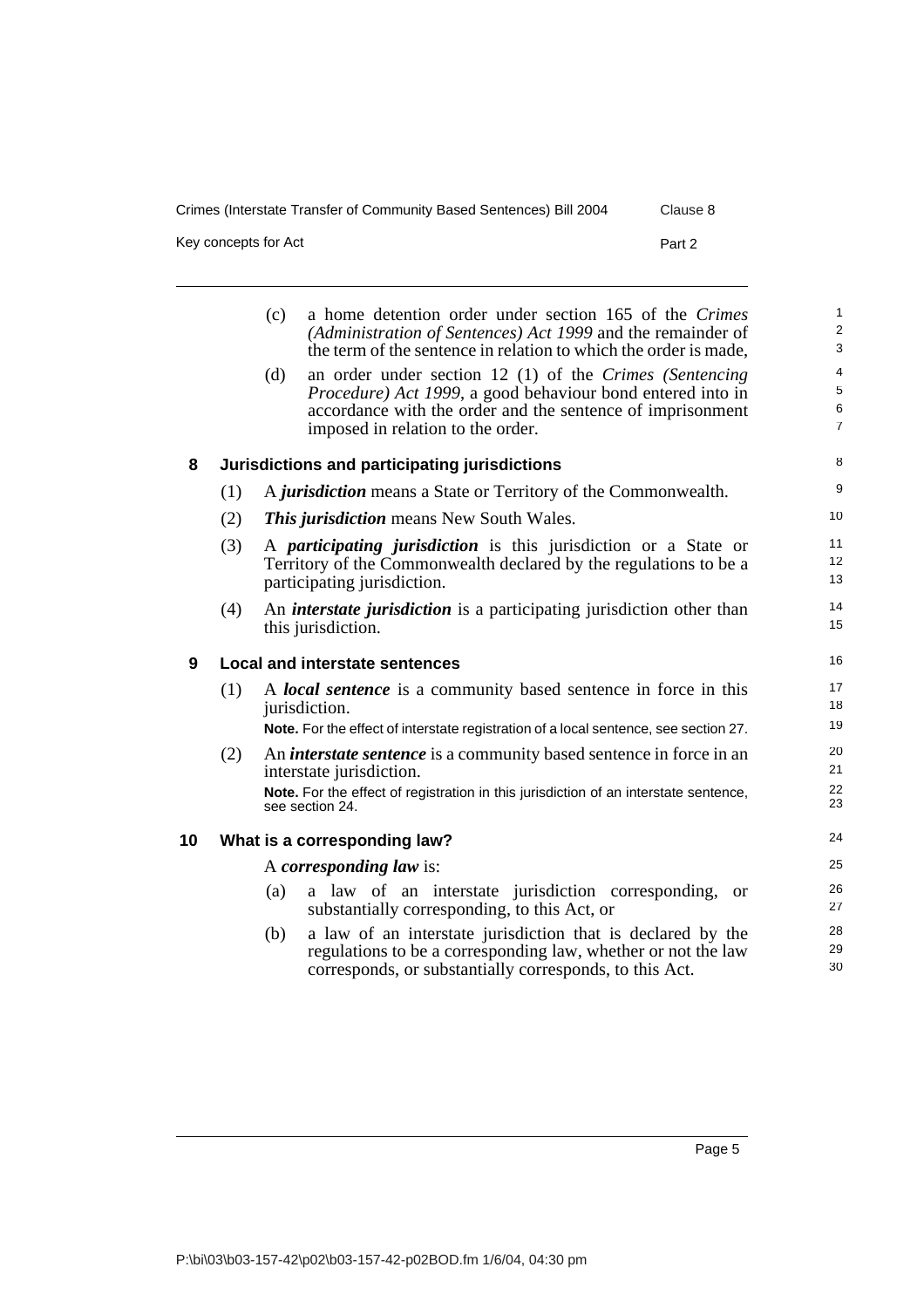Key concepts for Act Part 2

<span id="page-14-2"></span><span id="page-14-1"></span><span id="page-14-0"></span>

|    |     | a home detention order under section 165 of the Crimes<br>(c)<br>(Administration of Sentences) Act 1999 and the remainder of<br>the term of the sentence in relation to which the order is made,                                  | $\mathbf{1}$<br>2<br>3                              |
|----|-----|-----------------------------------------------------------------------------------------------------------------------------------------------------------------------------------------------------------------------------------|-----------------------------------------------------|
|    |     | an order under section 12 $(1)$ of the Crimes (Sentencing<br>(d)<br>Procedure) Act 1999, a good behaviour bond entered into in<br>accordance with the order and the sentence of imprisonment<br>imposed in relation to the order. | $\overline{4}$<br>$\sqrt{5}$<br>6<br>$\overline{7}$ |
| 8  |     | Jurisdictions and participating jurisdictions                                                                                                                                                                                     | 8                                                   |
|    | (1) | A <i>jurisdiction</i> means a State or Territory of the Commonwealth.                                                                                                                                                             | 9                                                   |
|    | (2) | <b>This jurisdiction</b> means New South Wales.                                                                                                                                                                                   | 10                                                  |
|    | (3) | A participating jurisdiction is this jurisdiction or a State or<br>Territory of the Commonwealth declared by the regulations to be a<br>participating jurisdiction.                                                               | 11<br>12<br>13                                      |
|    | (4) | An <i>interstate jurisdiction</i> is a participating jurisdiction other than<br>this jurisdiction.                                                                                                                                | 14<br>15                                            |
| 9  |     | <b>Local and interstate sentences</b>                                                                                                                                                                                             | 16                                                  |
|    | (1) | A <i>local sentence</i> is a community based sentence in force in this<br>jurisdiction.                                                                                                                                           | 17<br>18<br>19                                      |
|    |     | Note. For the effect of interstate registration of a local sentence, see section 27.                                                                                                                                              |                                                     |
|    | (2) | An <i>interstate sentence</i> is a community based sentence in force in an<br>interstate jurisdiction.                                                                                                                            | 20<br>21                                            |
|    |     | Note. For the effect of registration in this jurisdiction of an interstate sentence,<br>see section 24.                                                                                                                           | 22<br>23                                            |
| 10 |     | What is a corresponding law?                                                                                                                                                                                                      | 24                                                  |
|    |     | A corresponding law is:                                                                                                                                                                                                           | 25                                                  |
|    |     | a law of an interstate jurisdiction corresponding,<br>(a)<br><b>or</b><br>substantially corresponding, to this Act, or                                                                                                            | 26<br>27                                            |
|    |     | a law of an interstate jurisdiction that is declared by the<br>(b)<br>regulations to be a corresponding law, whether or not the law<br>corresponds, or substantially corresponds, to this Act.                                    | 28<br>29<br>30                                      |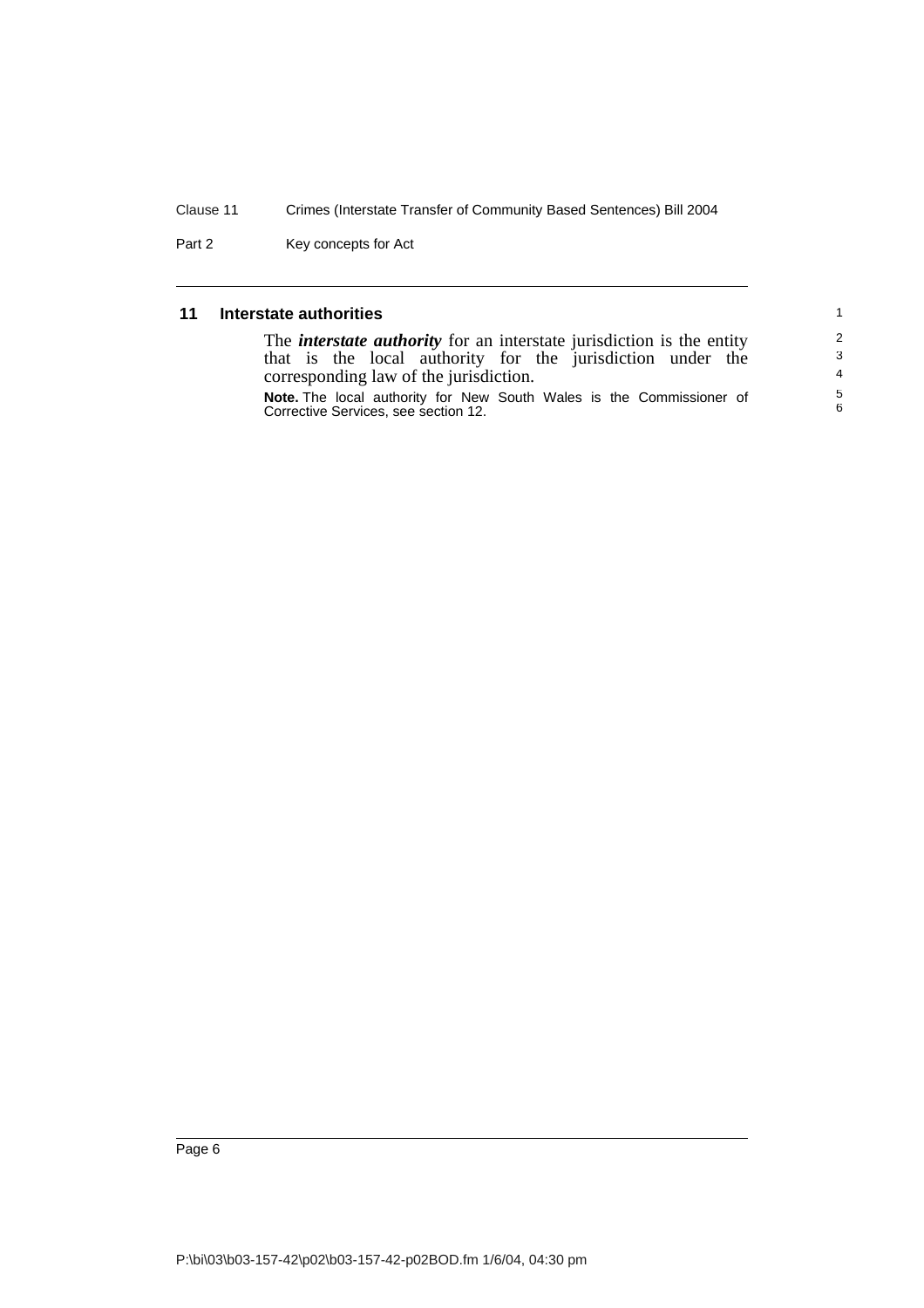Part 2 Key concepts for Act

#### <span id="page-15-0"></span>**11 Interstate authorities**

| that is the local authority for the jurisdiction under the<br>corresponding law of the jurisdiction. | The <i>interstate authority</i> for an interstate jurisdiction is the entity |
|------------------------------------------------------------------------------------------------------|------------------------------------------------------------------------------|
|                                                                                                      |                                                                              |
|                                                                                                      |                                                                              |
| Corrective Services, see section 12.                                                                 | <b>Note.</b> The local authority for New South Wales is the Commissioner of  |

1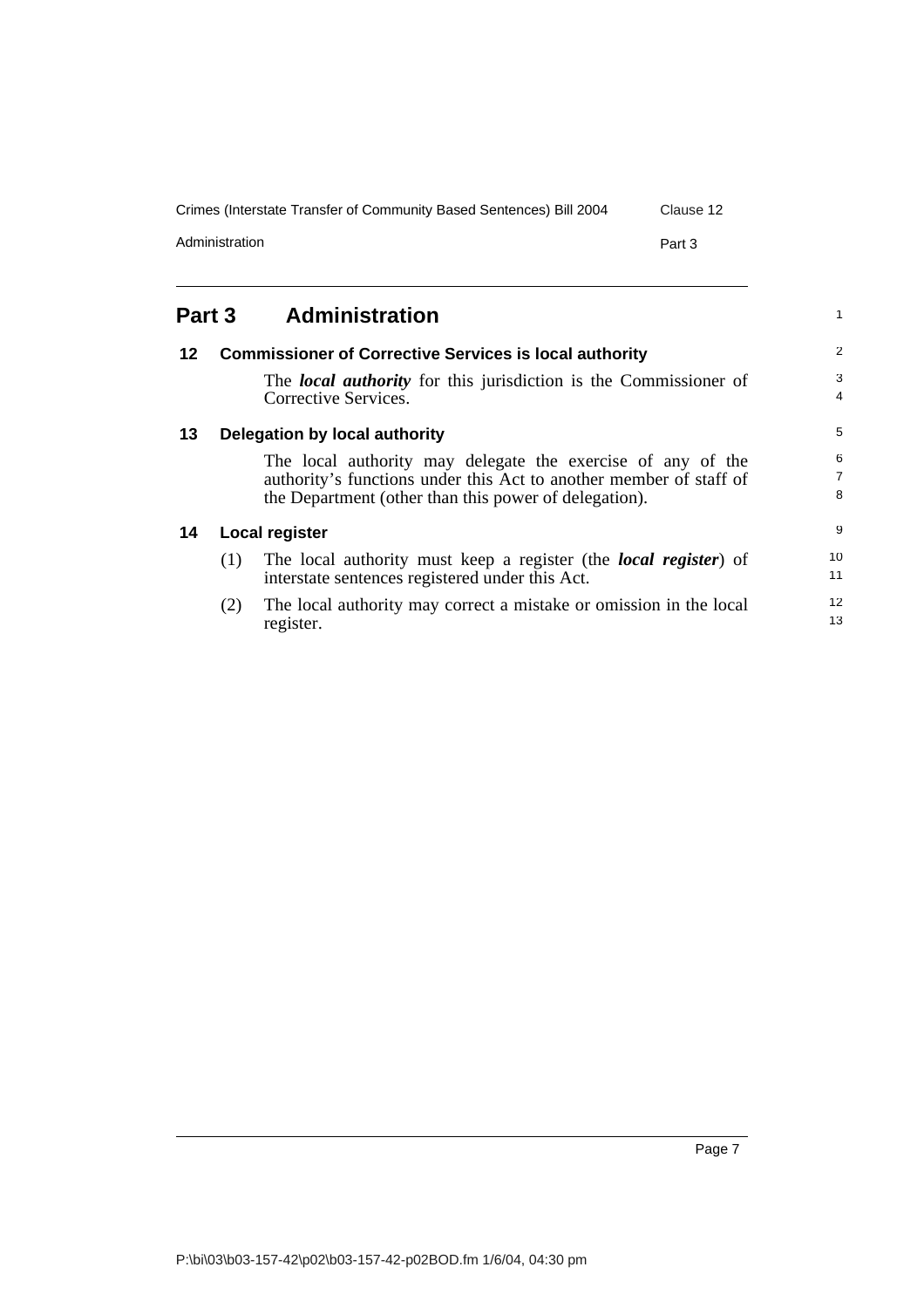| Crimes (Interstate Transfer of Community Based Sentences) Bill 2004 | Clause 12 |
|---------------------------------------------------------------------|-----------|
| Administration                                                      | Part 3    |

<span id="page-16-0"></span>

<span id="page-16-3"></span><span id="page-16-2"></span><span id="page-16-1"></span>

| 12 |     | <b>Commissioner of Corrective Services is local authority</b>                            | $\overline{2}$      |
|----|-----|------------------------------------------------------------------------------------------|---------------------|
|    |     | The local authority for this jurisdiction is the Commissioner of<br>Corrective Services. | 3<br>$\overline{4}$ |
| 13 |     | Delegation by local authority                                                            | 5                   |
|    |     | The local authority may delegate the exercise of any of the                              | 6                   |
|    |     | authority's functions under this Act to another member of staff of                       | $\overline{7}$      |
|    |     | the Department (other than this power of delegation).                                    | 8                   |
| 14 |     | Local register                                                                           | 9                   |
|    | (1) | The local authority must keep a register (the <i>local register</i> ) of                 | 10                  |
|    |     | interstate sentences registered under this Act.                                          | 11                  |
|    | (2) | The local authority may correct a mistake or omission in the local                       | 12                  |
|    |     | register.                                                                                | 13                  |

1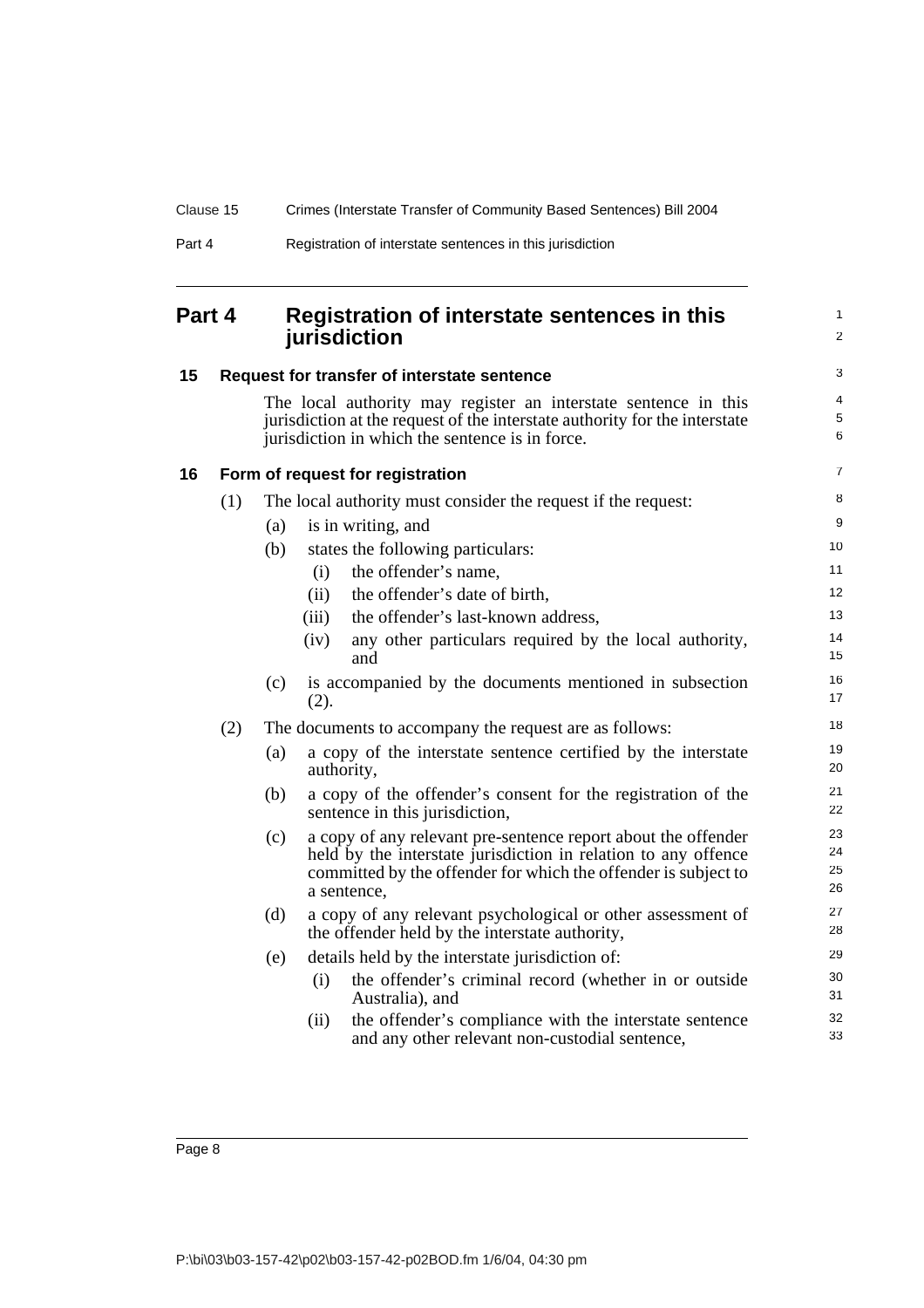| Part 4 | Registration of interstate sentences in this jurisdiction |
|--------|-----------------------------------------------------------|
|--------|-----------------------------------------------------------|

## <span id="page-17-0"></span>**Part 4 Registration of interstate sentences in this jurisdiction**

1 2

<span id="page-17-2"></span><span id="page-17-1"></span>

| 15 |     |     | Request for transfer of interstate sentence                                                                                                                                                                      | 3                    |
|----|-----|-----|------------------------------------------------------------------------------------------------------------------------------------------------------------------------------------------------------------------|----------------------|
|    |     |     | The local authority may register an interstate sentence in this<br>jurisdiction at the request of the interstate authority for the interstate<br>jurisdiction in which the sentence is in force.                 | 4<br>$\sqrt{5}$<br>6 |
| 16 |     |     | Form of request for registration                                                                                                                                                                                 | $\overline{7}$       |
|    | (1) |     | The local authority must consider the request if the request:                                                                                                                                                    | 8                    |
|    |     | (a) | is in writing, and                                                                                                                                                                                               | 9                    |
|    |     | (b) | states the following particulars:                                                                                                                                                                                | 10                   |
|    |     |     | the offender's name,<br>(i)                                                                                                                                                                                      | 11                   |
|    |     |     | the offender's date of birth,<br>(ii)                                                                                                                                                                            | 12                   |
|    |     |     | the offender's last-known address,<br>(iii)                                                                                                                                                                      | 13                   |
|    |     |     | any other particulars required by the local authority,<br>(iv)<br>and                                                                                                                                            | 14<br>15             |
|    |     | (c) | is accompanied by the documents mentioned in subsection<br>(2).                                                                                                                                                  | 16<br>17             |
|    | (2) |     | The documents to accompany the request are as follows:                                                                                                                                                           | 18                   |
|    |     | (a) | a copy of the interstate sentence certified by the interstate<br>authority,                                                                                                                                      | 19<br>20             |
|    |     | (b) | a copy of the offender's consent for the registration of the<br>sentence in this jurisdiction,                                                                                                                   | 21<br>22             |
|    |     | (c) | a copy of any relevant pre-sentence report about the offender<br>held by the interstate jurisdiction in relation to any offence<br>committed by the offender for which the offender is subject to<br>a sentence, | 23<br>24<br>25<br>26 |
|    |     | (d) | a copy of any relevant psychological or other assessment of<br>the offender held by the interstate authority,                                                                                                    | 27<br>28             |
|    |     | (e) | details held by the interstate jurisdiction of:                                                                                                                                                                  | 29                   |
|    |     |     | the offender's criminal record (whether in or outside<br>(i)<br>Australia), and                                                                                                                                  | 30<br>31             |
|    |     |     | the offender's compliance with the interstate sentence<br>(ii)<br>and any other relevant non-custodial sentence,                                                                                                 | 32<br>33             |
|    |     |     |                                                                                                                                                                                                                  |                      |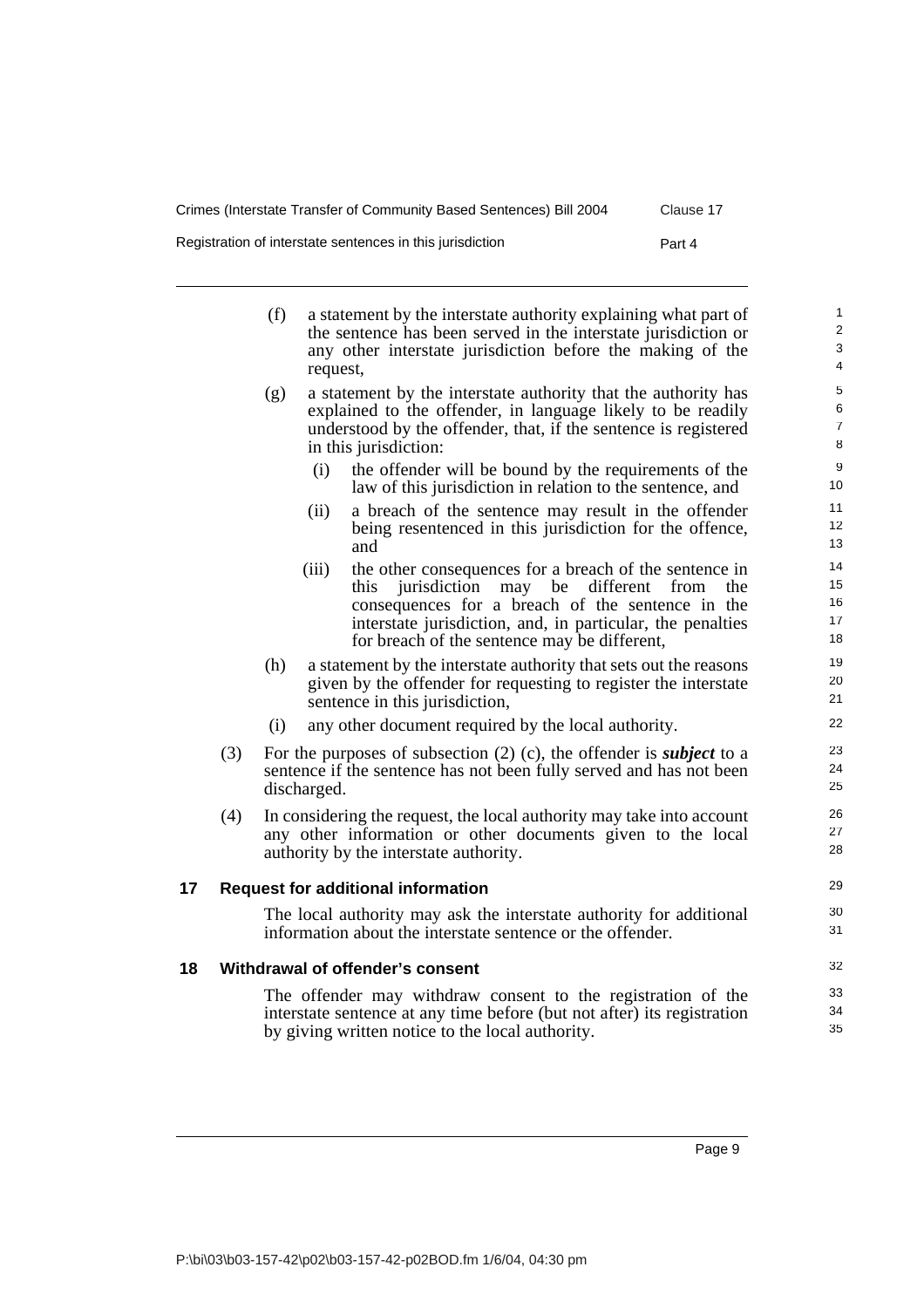29 30 31

Registration of interstate sentences in this jurisdiction Part 4

| (f) | a statement by the interstate authority explaining what part of<br>the sentence has been served in the interstate jurisdiction or<br>any other interstate jurisdiction before the making of the<br>request, |
|-----|-------------------------------------------------------------------------------------------------------------------------------------------------------------------------------------------------------------|
|     |                                                                                                                                                                                                             |

- (g) a statement by the interstate authority that the authority has explained to the offender, in language likely to be readily understood by the offender, that, if the sentence is registered in this jurisdiction:
	- (i) the offender will be bound by the requirements of the law of this jurisdiction in relation to the sentence, and
	- (ii) a breach of the sentence may result in the offender being resentenced in this jurisdiction for the offence, and
	- (iii) the other consequences for a breach of the sentence in this jurisdiction may be different from the consequences for a breach of the sentence in the interstate jurisdiction, and, in particular, the penalties for breach of the sentence may be different,
- (h) a statement by the interstate authority that sets out the reasons given by the offender for requesting to register the interstate sentence in this jurisdiction,
- (i) any other document required by the local authority.
- (3) For the purposes of subsection (2) (c), the offender is *subject* to a sentence if the sentence has not been fully served and has not been discharged.
- (4) In considering the request, the local authority may take into account any other information or other documents given to the local authority by the interstate authority.

#### <span id="page-18-0"></span>**17 Request for additional information**

The local authority may ask the interstate authority for additional information about the interstate sentence or the offender.

#### <span id="page-18-1"></span>**18 Withdrawal of offender's consent**

The offender may withdraw consent to the registration of the interstate sentence at any time before (but not after) its registration by giving written notice to the local authority.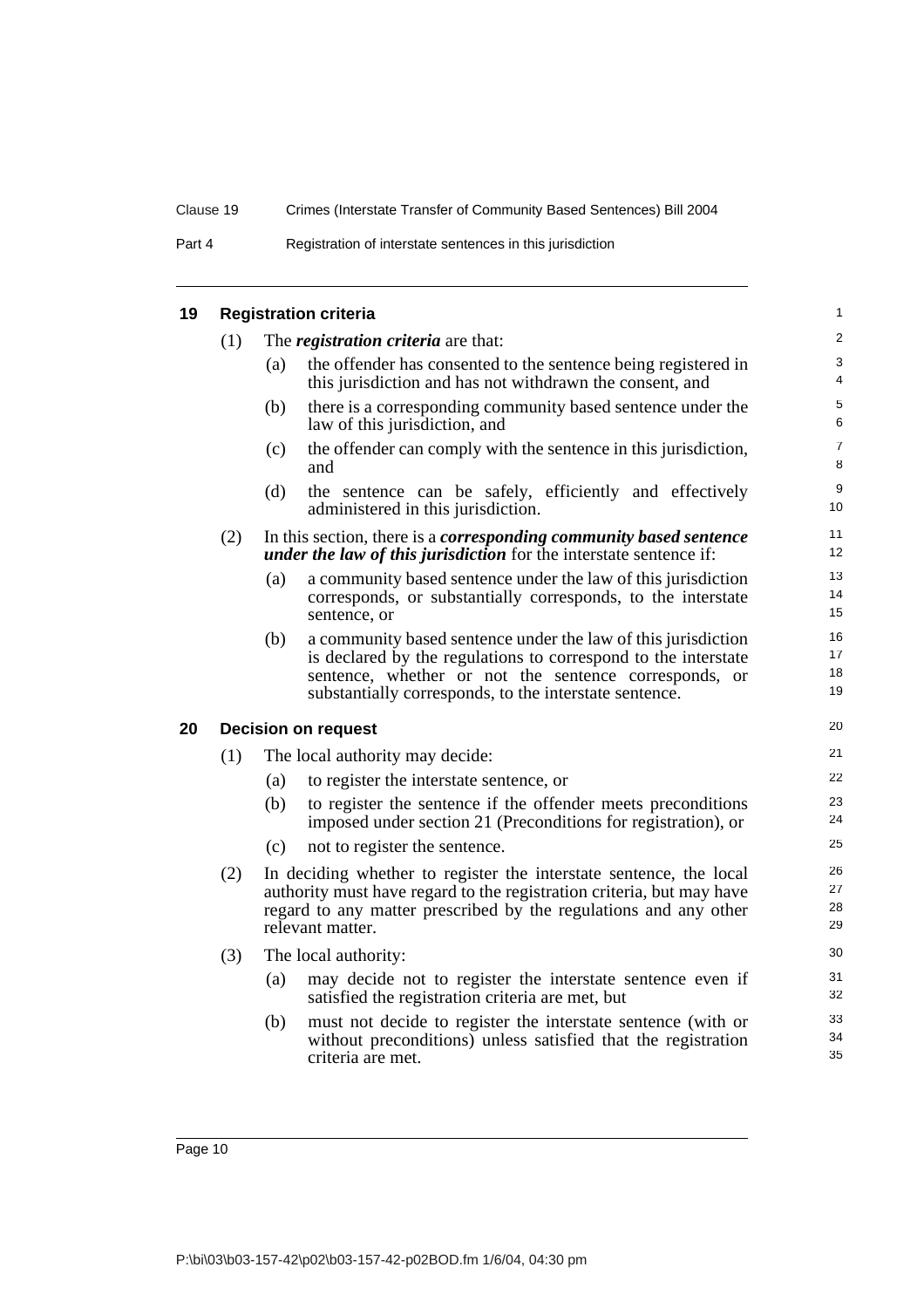<span id="page-19-1"></span><span id="page-19-0"></span>

| 19 |     |     | <b>Registration criteria</b>                                                                                                                                                                                                                       | $\mathbf{1}$         |
|----|-----|-----|----------------------------------------------------------------------------------------------------------------------------------------------------------------------------------------------------------------------------------------------------|----------------------|
|    | (1) |     | The <i>registration criteria</i> are that:                                                                                                                                                                                                         | $\overline{2}$       |
|    |     | (a) | the offender has consented to the sentence being registered in<br>this jurisdiction and has not withdrawn the consent, and                                                                                                                         | 3<br>$\overline{4}$  |
|    |     | (b) | there is a corresponding community based sentence under the<br>law of this jurisdiction, and                                                                                                                                                       | 5<br>6               |
|    |     | (c) | the offender can comply with the sentence in this jurisdiction,<br>and                                                                                                                                                                             | $\overline{7}$<br>8  |
|    |     | (d) | the sentence can be safely, efficiently and effectively<br>administered in this jurisdiction.                                                                                                                                                      | 9<br>10              |
|    | (2) |     | In this section, there is a <i>corresponding community based sentence</i><br><i>under the law of this jurisdiction</i> for the interstate sentence if:                                                                                             | 11<br>12             |
|    |     | (a) | a community based sentence under the law of this jurisdiction<br>corresponds, or substantially corresponds, to the interstate<br>sentence, or                                                                                                      | 13<br>14<br>15       |
|    |     | (b) | a community based sentence under the law of this jurisdiction<br>is declared by the regulations to correspond to the interstate<br>sentence, whether or not the sentence corresponds, or<br>substantially corresponds, to the interstate sentence. | 16<br>17<br>18<br>19 |
| 20 |     |     | <b>Decision on request</b>                                                                                                                                                                                                                         | 20                   |
|    | (1) |     | The local authority may decide:                                                                                                                                                                                                                    | 21                   |
|    |     | (a) | to register the interstate sentence, or                                                                                                                                                                                                            | 22                   |
|    |     | (b) | to register the sentence if the offender meets preconditions<br>imposed under section 21 (Preconditions for registration), or                                                                                                                      | 23<br>24             |
|    |     | (c) | not to register the sentence.                                                                                                                                                                                                                      | 25                   |
|    | (2) |     | In deciding whether to register the interstate sentence, the local<br>authority must have regard to the registration criteria, but may have<br>regard to any matter prescribed by the regulations and any other<br>relevant matter.                | 26<br>27<br>28<br>29 |
|    | (3) |     | The local authority:                                                                                                                                                                                                                               | 30                   |
|    |     | (a) | may decide not to register the interstate sentence even if<br>satisfied the registration criteria are met, but                                                                                                                                     | 31<br>32             |
|    |     | (b) | must not decide to register the interstate sentence (with or<br>without preconditions) unless satisfied that the registration<br>criteria are met.                                                                                                 | 33<br>34<br>35       |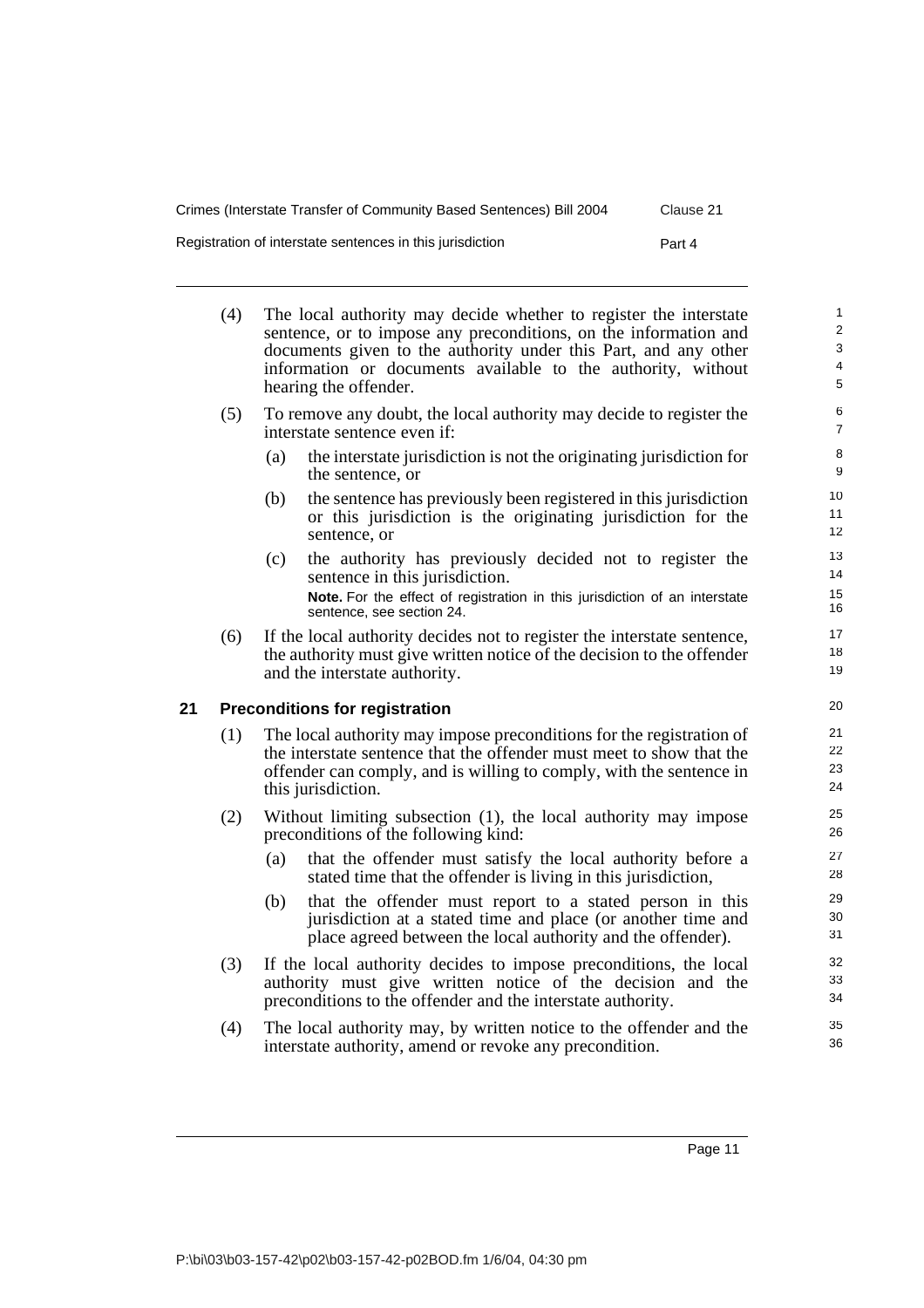Registration of interstate sentences in this jurisdiction Part 4

- <span id="page-20-0"></span>(4) The local authority may decide whether to register the interstate sentence, or to impose any preconditions, on the information and documents given to the authority under this Part, and any other information or documents available to the authority, without hearing the offender. (5) To remove any doubt, the local authority may decide to register the interstate sentence even if: (a) the interstate jurisdiction is not the originating jurisdiction for the sentence, or (b) the sentence has previously been registered in this jurisdiction or this jurisdiction is the originating jurisdiction for the sentence, or (c) the authority has previously decided not to register the sentence in this jurisdiction. **Note.** For the effect of registration in this jurisdiction of an interstate sentence, see section 24. (6) If the local authority decides not to register the interstate sentence, the authority must give written notice of the decision to the offender and the interstate authority. **21 Preconditions for registration** (1) The local authority may impose preconditions for the registration of the interstate sentence that the offender must meet to show that the
	- offender can comply, and is willing to comply, with the sentence in this jurisdiction.
	- (2) Without limiting subsection (1), the local authority may impose preconditions of the following kind:
		- (a) that the offender must satisfy the local authority before a stated time that the offender is living in this jurisdiction,
		- (b) that the offender must report to a stated person in this jurisdiction at a stated time and place (or another time and place agreed between the local authority and the offender).
	- (3) If the local authority decides to impose preconditions, the local authority must give written notice of the decision and the preconditions to the offender and the interstate authority.
	- (4) The local authority may, by written notice to the offender and the interstate authority, amend or revoke any precondition.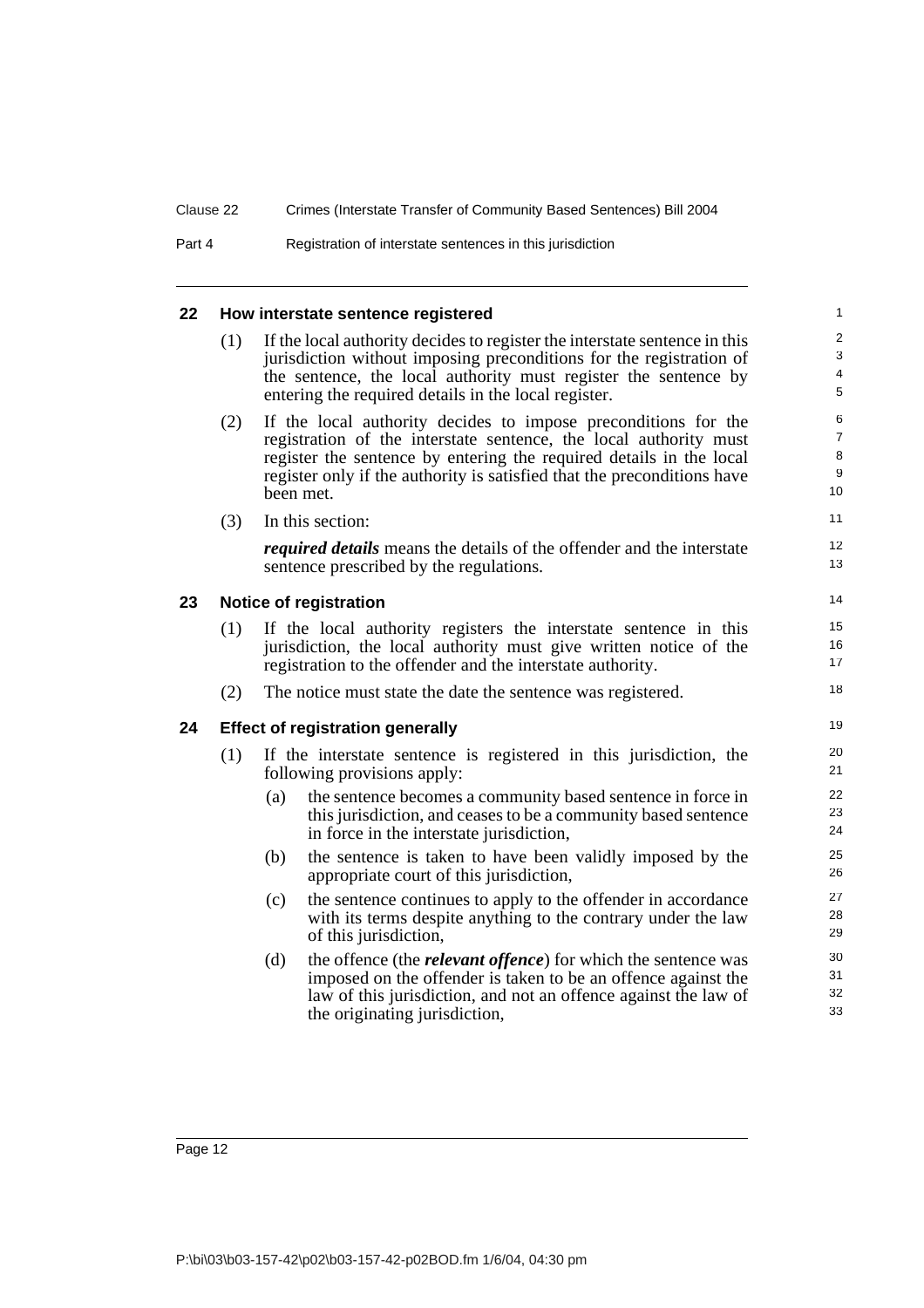| Part 4 | Registration of interstate sentences in this jurisdiction |  |
|--------|-----------------------------------------------------------|--|
|--------|-----------------------------------------------------------|--|

#### <span id="page-21-2"></span><span id="page-21-1"></span><span id="page-21-0"></span>**22 How interstate sentence registered** (1) If the local authority decides to register the interstate sentence in this jurisdiction without imposing preconditions for the registration of the sentence, the local authority must register the sentence by entering the required details in the local register. (2) If the local authority decides to impose preconditions for the registration of the interstate sentence, the local authority must register the sentence by entering the required details in the local register only if the authority is satisfied that the preconditions have been met. (3) In this section: *required details* means the details of the offender and the interstate sentence prescribed by the regulations. **23 Notice of registration** (1) If the local authority registers the interstate sentence in this jurisdiction, the local authority must give written notice of the registration to the offender and the interstate authority. (2) The notice must state the date the sentence was registered. **24 Effect of registration generally** (1) If the interstate sentence is registered in this jurisdiction, the following provisions apply: (a) the sentence becomes a community based sentence in force in this jurisdiction, and ceases to be a community based sentence in force in the interstate jurisdiction, (b) the sentence is taken to have been validly imposed by the appropriate court of this jurisdiction, (c) the sentence continues to apply to the offender in accordance with its terms despite anything to the contrary under the law of this jurisdiction, (d) the offence (the *relevant offence*) for which the sentence was imposed on the offender is taken to be an offence against the law of this jurisdiction, and not an offence against the law of the originating jurisdiction, 1  $\overline{2}$ 3 4 5 6 7 8 9 10 11 12 13 14 15 16 17 18 19 20 21 22 23 24 25 26 27 28 29 30 31 32 33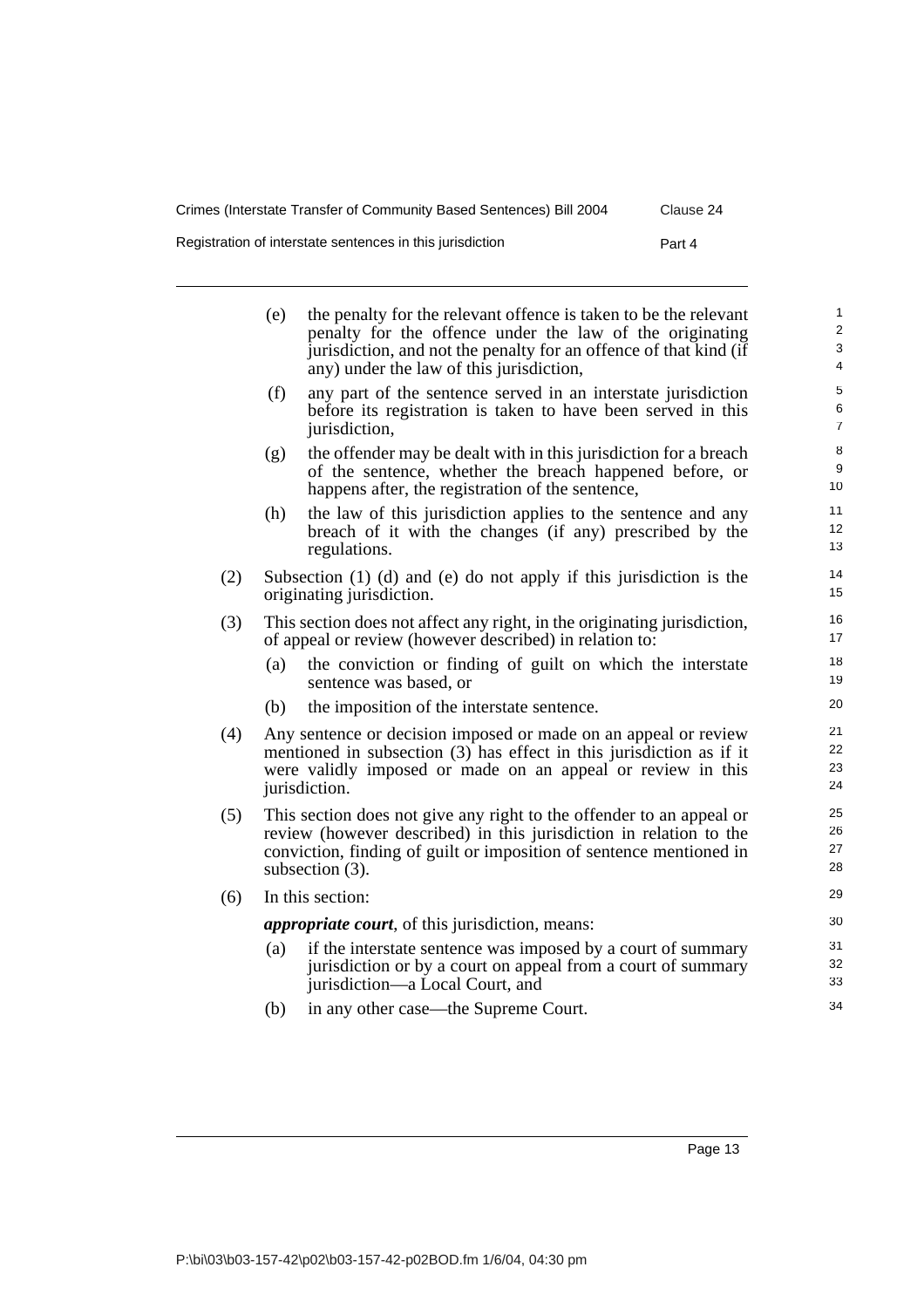Registration of interstate sentences in this jurisdiction Part 4

|     | (e)                                                                                                                                                                                                                                     | the penalty for the relevant offence is taken to be the relevant<br>penalty for the offence under the law of the originating<br>jurisdiction, and not the penalty for an offence of that kind (if<br>any) under the law of this jurisdiction, | $\mathbf{1}$<br>$\overline{\mathbf{c}}$<br>3<br>$\overline{\mathcal{L}}$ |
|-----|-----------------------------------------------------------------------------------------------------------------------------------------------------------------------------------------------------------------------------------------|-----------------------------------------------------------------------------------------------------------------------------------------------------------------------------------------------------------------------------------------------|--------------------------------------------------------------------------|
|     | (f)                                                                                                                                                                                                                                     | any part of the sentence served in an interstate jurisdiction<br>before its registration is taken to have been served in this<br>jurisdiction,                                                                                                | 5<br>6<br>$\overline{7}$                                                 |
|     | (g)                                                                                                                                                                                                                                     | the offender may be dealt with in this jurisdiction for a breach<br>of the sentence, whether the breach happened before, or<br>happens after, the registration of the sentence,                                                               | 8<br>9<br>10                                                             |
|     | (h)                                                                                                                                                                                                                                     | the law of this jurisdiction applies to the sentence and any<br>breach of it with the changes (if any) prescribed by the<br>regulations.                                                                                                      | 11<br>12<br>13                                                           |
| (2) | Subsection (1) (d) and (e) do not apply if this jurisdiction is the<br>originating jurisdiction.                                                                                                                                        |                                                                                                                                                                                                                                               |                                                                          |
| (3) | This section does not affect any right, in the originating jurisdiction,<br>of appeal or review (however described) in relation to:                                                                                                     |                                                                                                                                                                                                                                               |                                                                          |
|     | (a)                                                                                                                                                                                                                                     | the conviction or finding of guilt on which the interstate<br>sentence was based, or                                                                                                                                                          | 18<br>19                                                                 |
|     | (b)                                                                                                                                                                                                                                     | the imposition of the interstate sentence.                                                                                                                                                                                                    | 20                                                                       |
| (4) | Any sentence or decision imposed or made on an appeal or review<br>mentioned in subsection $(3)$ has effect in this jurisdiction as if it<br>were validly imposed or made on an appeal or review in this<br>jurisdiction.               |                                                                                                                                                                                                                                               |                                                                          |
| (5) | This section does not give any right to the offender to an appeal or<br>review (however described) in this jurisdiction in relation to the<br>conviction, finding of guilt or imposition of sentence mentioned in<br>subsection $(3)$ . |                                                                                                                                                                                                                                               |                                                                          |
| (6) | In this section:                                                                                                                                                                                                                        |                                                                                                                                                                                                                                               |                                                                          |
|     | <i>appropriate court</i> , of this jurisdiction, means:                                                                                                                                                                                 |                                                                                                                                                                                                                                               |                                                                          |
|     | (a)                                                                                                                                                                                                                                     | if the interstate sentence was imposed by a court of summary<br>jurisdiction or by a court on appeal from a court of summary<br>jurisdiction—a Local Court, and                                                                               | 31<br>32<br>33                                                           |
|     | (b)                                                                                                                                                                                                                                     | in any other case—the Supreme Court.                                                                                                                                                                                                          | 34                                                                       |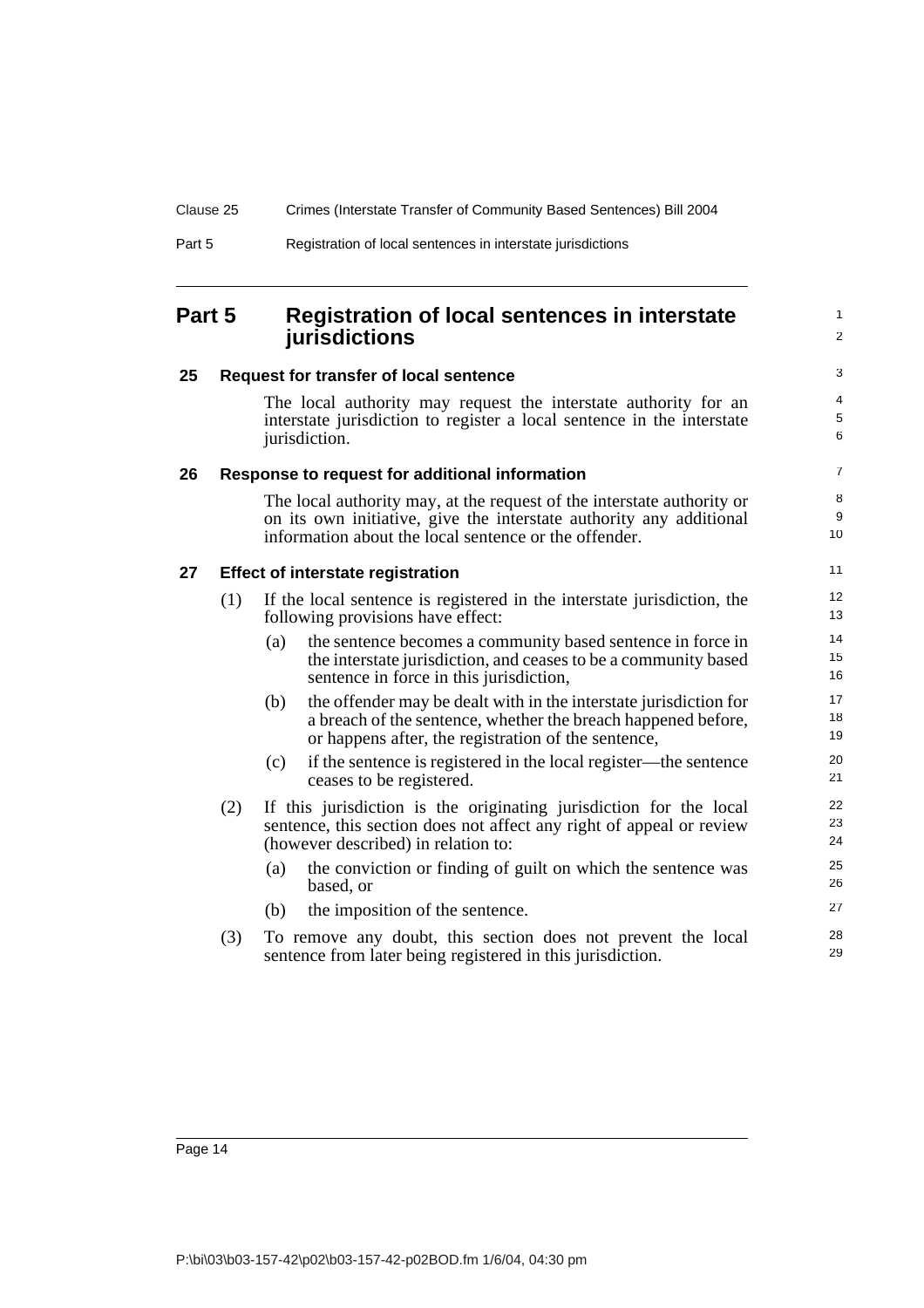## <span id="page-23-0"></span>**Part 5 Registration of local sentences in interstate jurisdictions**

#### <span id="page-23-1"></span>**25 Request for transfer of local sentence**

The local authority may request the interstate authority for an interstate jurisdiction to register a local sentence in the interstate jurisdiction.

1  $\mathfrak{p}$ 

#### <span id="page-23-2"></span>**26 Response to request for additional information**

The local authority may, at the request of the interstate authority or on its own initiative, give the interstate authority any additional information about the local sentence or the offender.

#### <span id="page-23-3"></span>**27 Effect of interstate registration**

- (1) If the local sentence is registered in the interstate jurisdiction, the following provisions have effect:
	- (a) the sentence becomes a community based sentence in force in the interstate jurisdiction, and ceases to be a community based sentence in force in this jurisdiction,
	- (b) the offender may be dealt with in the interstate jurisdiction for a breach of the sentence, whether the breach happened before, or happens after, the registration of the sentence,
	- (c) if the sentence is registered in the local register—the sentence ceases to be registered.
- (2) If this jurisdiction is the originating jurisdiction for the local sentence, this section does not affect any right of appeal or review (however described) in relation to:
	- (a) the conviction or finding of guilt on which the sentence was based, or
	- (b) the imposition of the sentence.
- (3) To remove any doubt, this section does not prevent the local sentence from later being registered in this jurisdiction.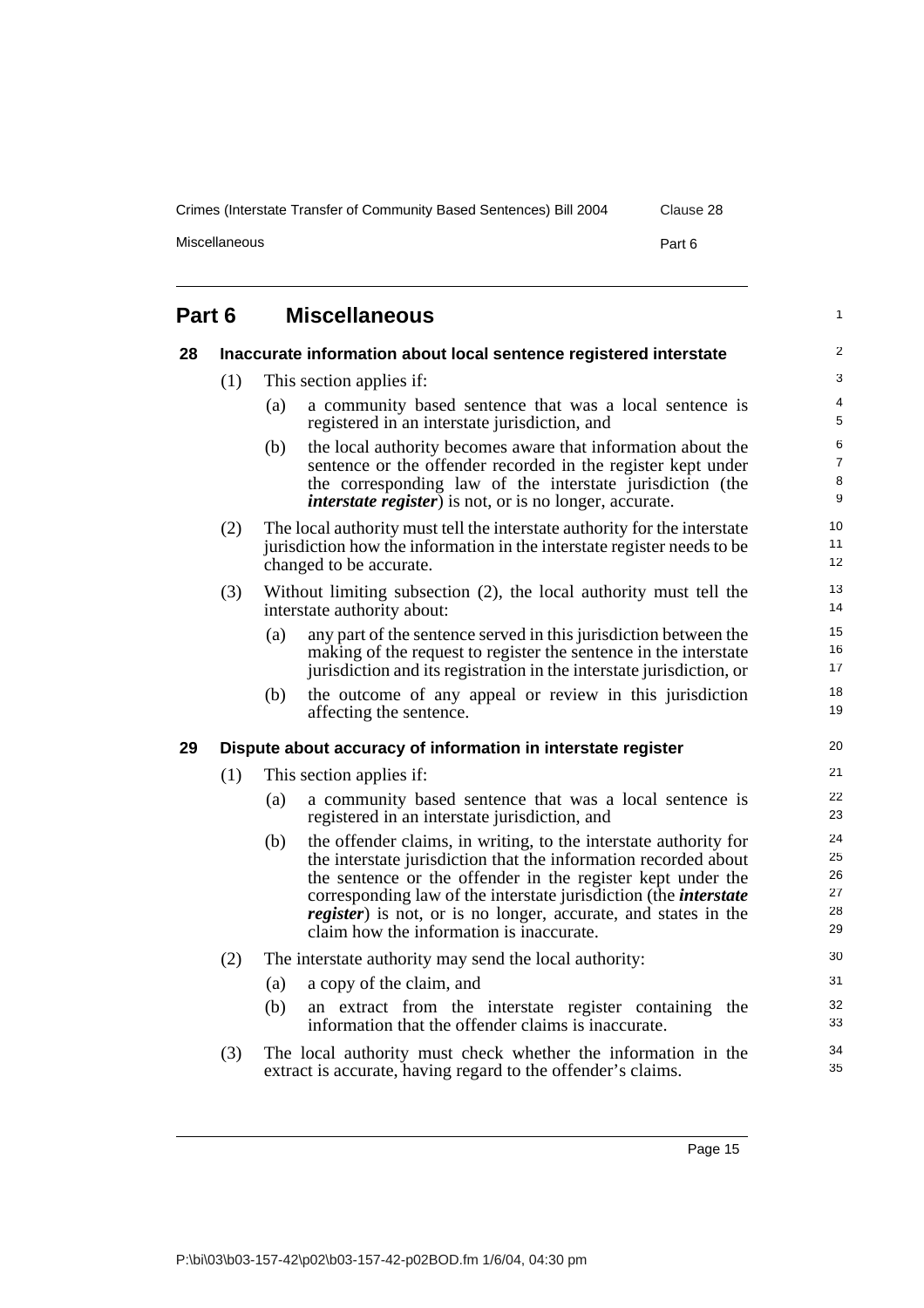Miscellaneous Part 6

#### <span id="page-24-2"></span><span id="page-24-1"></span><span id="page-24-0"></span>**Part 6 Miscellaneous 28 Inaccurate information about local sentence registered interstate** (1) This section applies if: (a) a community based sentence that was a local sentence is registered in an interstate jurisdiction, and (b) the local authority becomes aware that information about the sentence or the offender recorded in the register kept under the corresponding law of the interstate jurisdiction (the *interstate register*) is not, or is no longer, accurate. (2) The local authority must tell the interstate authority for the interstate jurisdiction how the information in the interstate register needs to be changed to be accurate. (3) Without limiting subsection (2), the local authority must tell the interstate authority about: (a) any part of the sentence served in this jurisdiction between the making of the request to register the sentence in the interstate jurisdiction and its registration in the interstate jurisdiction, or (b) the outcome of any appeal or review in this jurisdiction affecting the sentence. **29 Dispute about accuracy of information in interstate register** (1) This section applies if: (a) a community based sentence that was a local sentence is registered in an interstate jurisdiction, and (b) the offender claims, in writing, to the interstate authority for the interstate jurisdiction that the information recorded about the sentence or the offender in the register kept under the corresponding law of the interstate jurisdiction (the *interstate register*) is not, or is no longer, accurate, and states in the claim how the information is inaccurate. (2) The interstate authority may send the local authority: (a) a copy of the claim, and (b) an extract from the interstate register containing the information that the offender claims is inaccurate. (3) The local authority must check whether the information in the extract is accurate, having regard to the offender's claims. 1  $\mathfrak{p}$ 3 4 5 6 7 8 9 10 11 12 13 14 15 16 17 18 19 20 21 22 23 24 25 26 27 28 29 30 31 32 33 34 35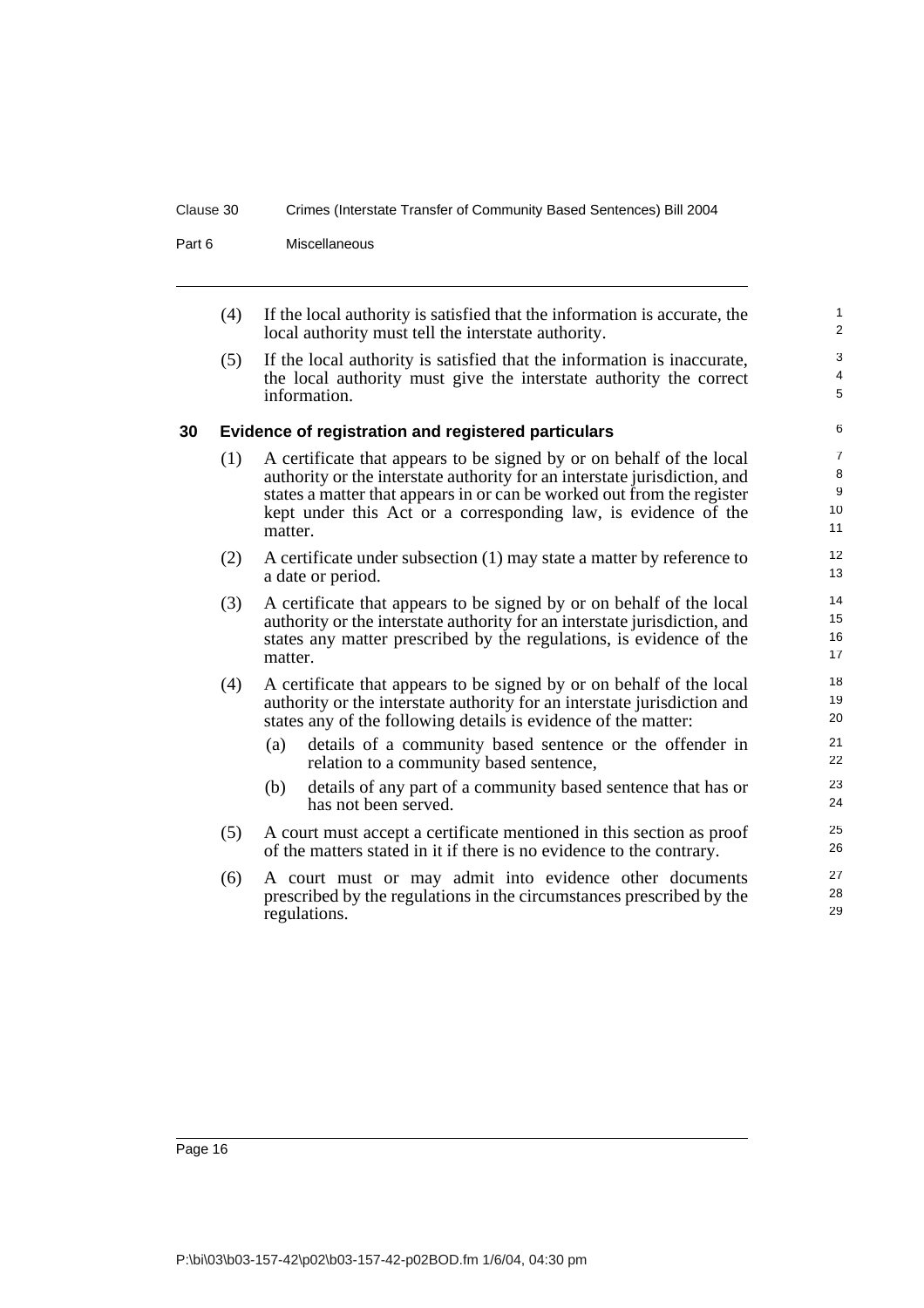Part 6 Miscellaneous

(4) If the local authority is satisfied that the information is accurate, the local authority must tell the interstate authority.

(5) If the local authority is satisfied that the information is inaccurate, the local authority must give the interstate authority the correct information.

#### <span id="page-25-0"></span>**30 Evidence of registration and registered particulars**

- (1) A certificate that appears to be signed by or on behalf of the local authority or the interstate authority for an interstate jurisdiction, and states a matter that appears in or can be worked out from the register kept under this Act or a corresponding law, is evidence of the matter.
- (2) A certificate under subsection (1) may state a matter by reference to a date or period.
- (3) A certificate that appears to be signed by or on behalf of the local authority or the interstate authority for an interstate jurisdiction, and states any matter prescribed by the regulations, is evidence of the matter.
- (4) A certificate that appears to be signed by or on behalf of the local authority or the interstate authority for an interstate jurisdiction and states any of the following details is evidence of the matter:
	- (a) details of a community based sentence or the offender in relation to a community based sentence,
	- (b) details of any part of a community based sentence that has or has not been served.
- (5) A court must accept a certificate mentioned in this section as proof of the matters stated in it if there is no evidence to the contrary.
- (6) A court must or may admit into evidence other documents prescribed by the regulations in the circumstances prescribed by the regulations.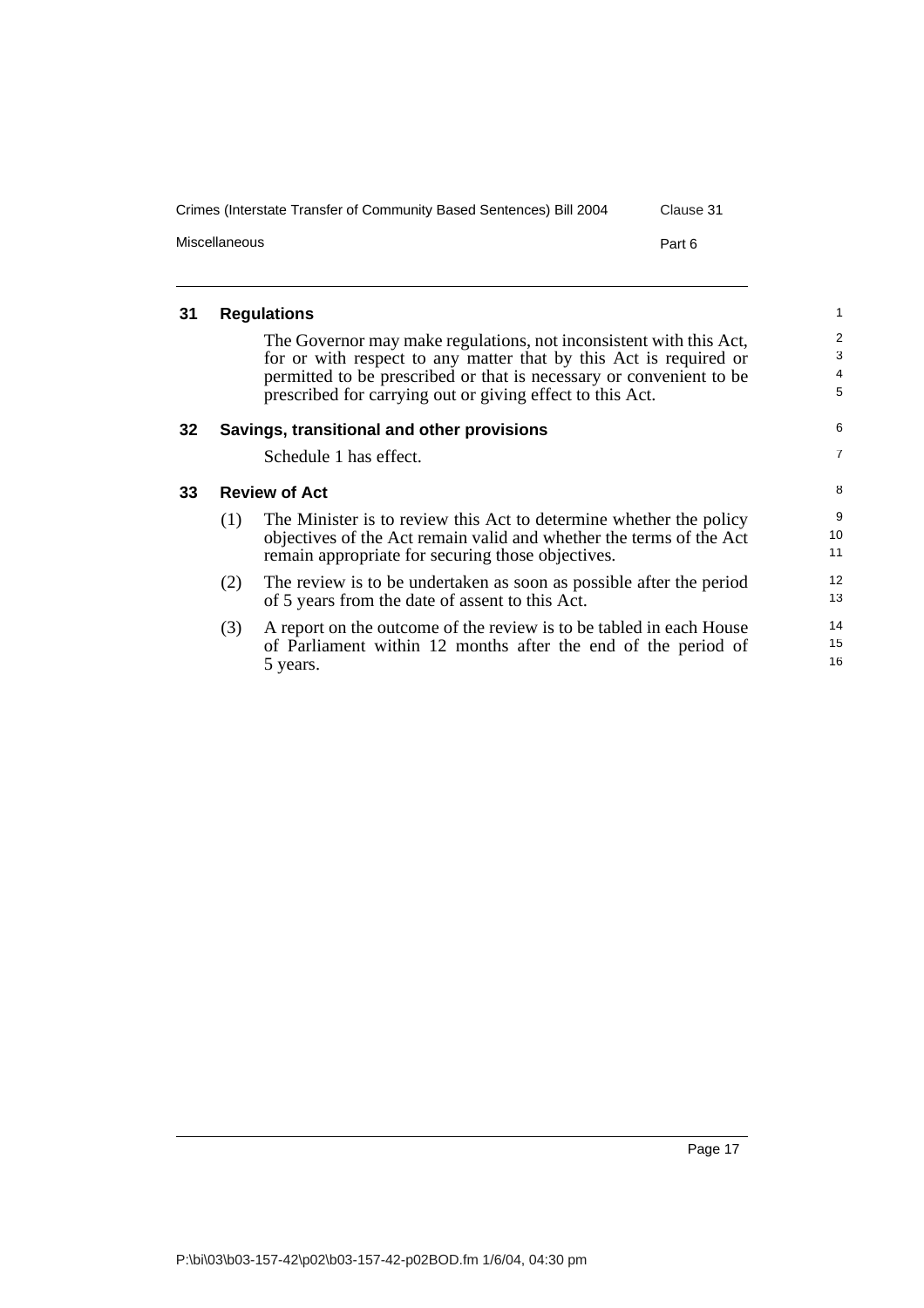| Crimes (Interstate Transfer of Community Based Sentences) Bill 2004 | Clause 31 |
|---------------------------------------------------------------------|-----------|
| Miscellaneous                                                       | Part 6    |

#### <span id="page-26-0"></span>**31 Regulations**

The Governor may make regulations, not inconsistent with this Act, for or with respect to any matter that by this Act is required or permitted to be prescribed or that is necessary or convenient to be prescribed for carrying out or giving effect to this Act.

<span id="page-26-2"></span><span id="page-26-1"></span>

| 32 |     | Savings, transitional and other provisions                          | 6              |
|----|-----|---------------------------------------------------------------------|----------------|
|    |     | Schedule 1 has effect.                                              | $\overline{7}$ |
| 33 |     | <b>Review of Act</b>                                                | 8              |
|    | (1) | The Minister is to review this Act to determine whether the policy  | 9              |
|    |     | objectives of the Act remain valid and whether the terms of the Act | 10             |
|    |     | remain appropriate for securing those objectives.                   | 11             |
|    | (2) | The review is to be undertaken as soon as possible after the period | 12             |
|    |     | of 5 years from the date of assent to this Act.                     | 13             |
|    | (3) | A report on the outcome of the review is to be tabled in each House | 14             |
|    |     | of Parliament within 12 months after the end of the period of       | 15             |
|    |     | 5 years.                                                            | 16             |
|    |     |                                                                     |                |